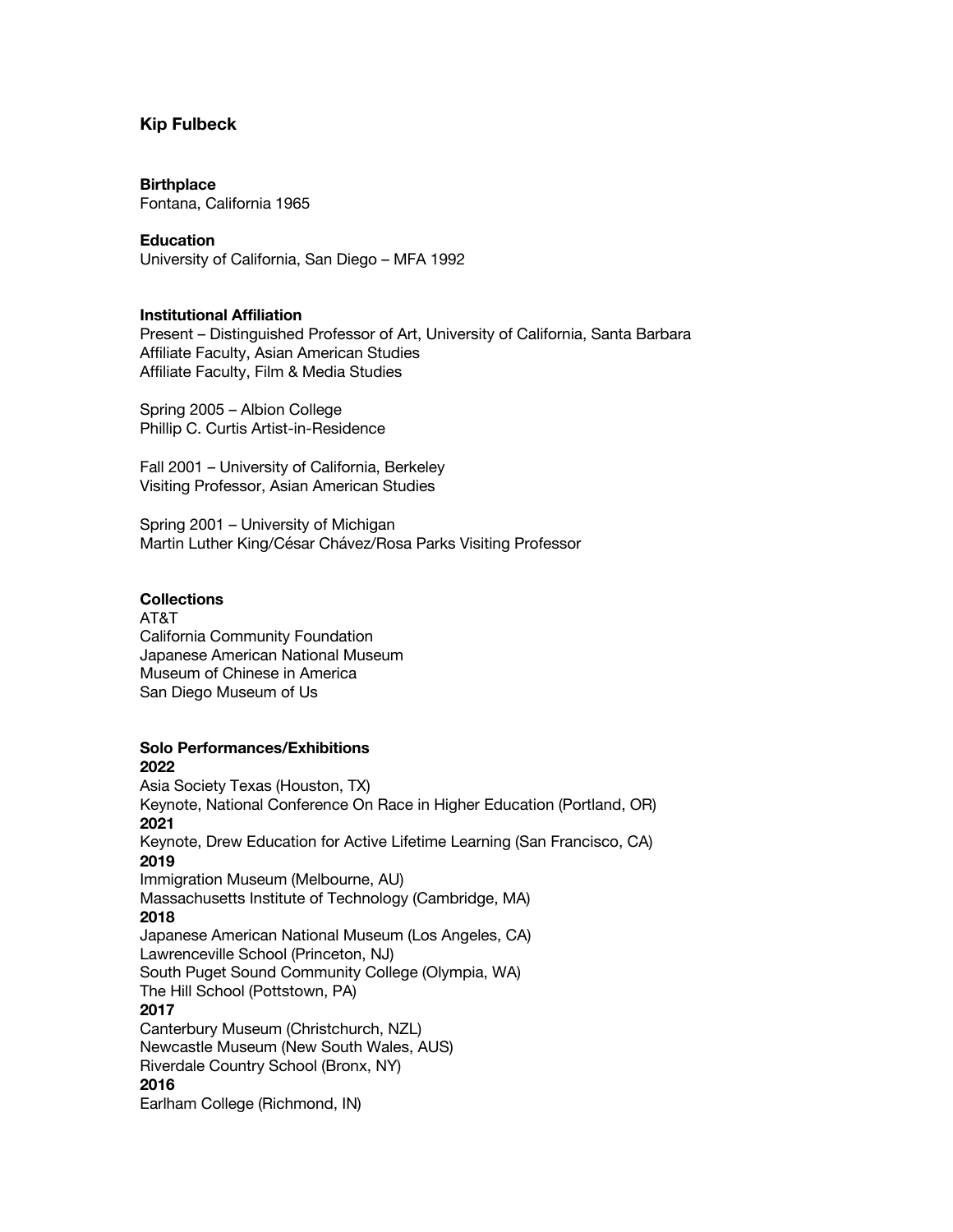### **Kip Fulbeck**

#### **Birthplace**

Fontana, California 1965

#### **Education**

University of California, San Diego – MFA 1992

#### **Institutional Affiliation**

Present – Distinguished Professor of Art, University of California, Santa Barbara Affiliate Faculty, Asian American Studies Affiliate Faculty, Film & Media Studies

Spring 2005 – Albion College Phillip C. Curtis Artist-in-Residence

Fall 2001 – University of California, Berkeley Visiting Professor, Asian American Studies

Spring 2001 – University of Michigan Martin Luther King/César Chávez/Rosa Parks Visiting Professor

### **Collections**

AT&T California Community Foundation Japanese American National Museum Museum of Chinese in America San Diego Museum of Us

#### **Solo Performances/Exhibitions 2022**

Asia Society Texas (Houston, TX) Keynote, National Conference On Race in Higher Education (Portland, OR) **2021** Keynote, Drew Education for Active Lifetime Learning (San Francisco, CA) **2019** Immigration Museum (Melbourne, AU) Massachusetts Institute of Technology (Cambridge, MA) **2018** Japanese American National Museum (Los Angeles, CA) Lawrenceville School (Princeton, NJ) South Puget Sound Community College (Olympia, WA) The Hill School (Pottstown, PA) **2017** Canterbury Museum (Christchurch, NZL) Newcastle Museum (New South Wales, AUS) Riverdale Country School (Bronx, NY) **2016** Earlham College (Richmond, IN)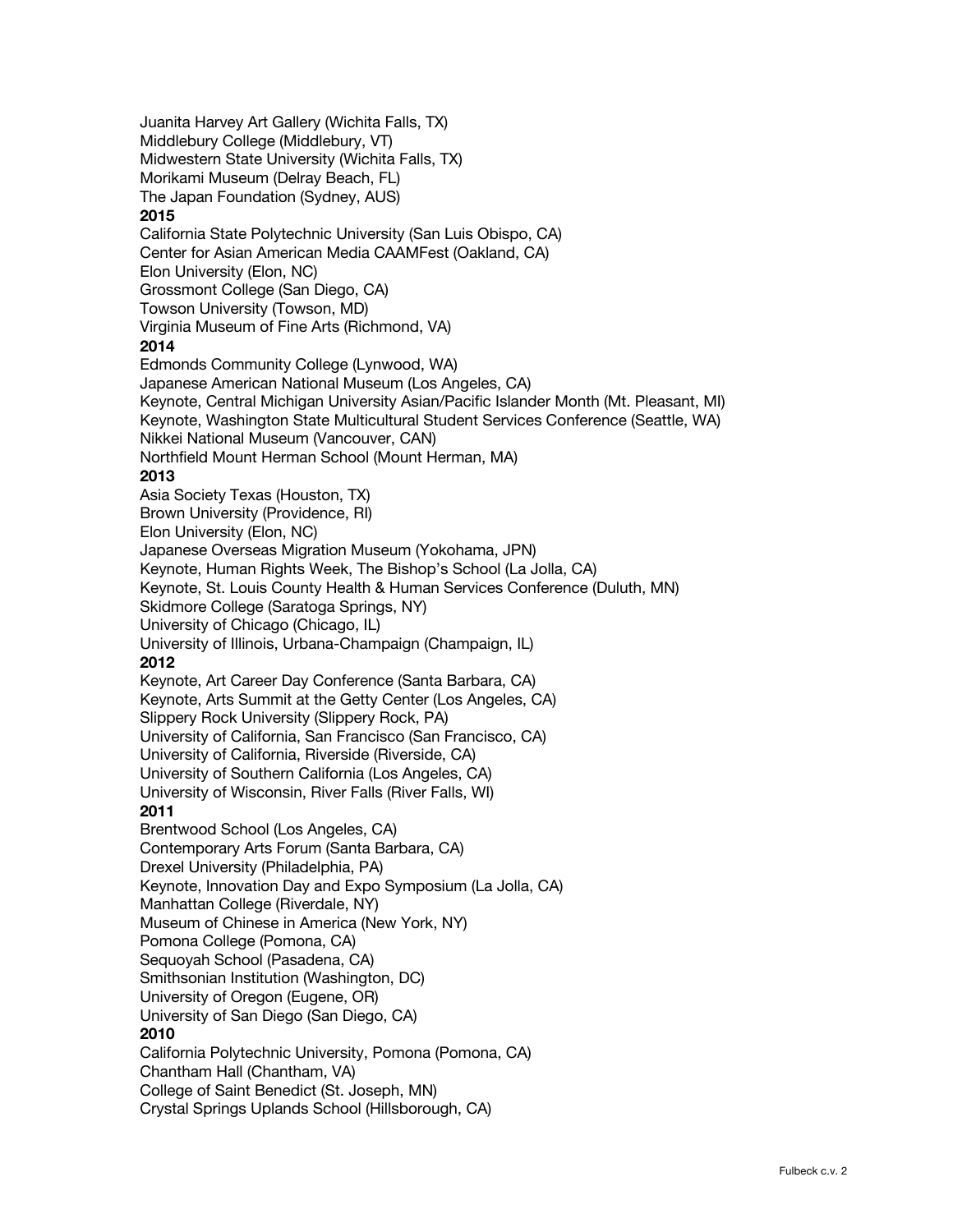Juanita Harvey Art Gallery (Wichita Falls, TX) Middlebury College (Middlebury, VT) Midwestern State University (Wichita Falls, TX) Morikami Museum (Delray Beach, FL) The Japan Foundation (Sydney, AUS) **2015** California State Polytechnic University (San Luis Obispo, CA) Center for Asian American Media CAAMFest (Oakland, CA) Elon University (Elon, NC) Grossmont College (San Diego, CA) Towson University (Towson, MD) Virginia Museum of Fine Arts (Richmond, VA) **2014** Edmonds Community College (Lynwood, WA) Japanese American National Museum (Los Angeles, CA) Keynote, Central Michigan University Asian/Pacific Islander Month (Mt. Pleasant, MI) Keynote, Washington State Multicultural Student Services Conference (Seattle, WA) Nikkei National Museum (Vancouver, CAN) Northfield Mount Herman School (Mount Herman, MA) **2013** Asia Society Texas (Houston, TX) Brown University (Providence, RI) Elon University (Elon, NC) Japanese Overseas Migration Museum (Yokohama, JPN) Keynote, Human Rights Week, The Bishop's School (La Jolla, CA) Keynote, St. Louis County Health & Human Services Conference (Duluth, MN) Skidmore College (Saratoga Springs, NY) University of Chicago (Chicago, IL) University of Illinois, Urbana-Champaign (Champaign, IL) **2012** Keynote, Art Career Day Conference (Santa Barbara, CA) Keynote, Arts Summit at the Getty Center (Los Angeles, CA) Slippery Rock University (Slippery Rock, PA) University of California, San Francisco (San Francisco, CA) University of California, Riverside (Riverside, CA) University of Southern California (Los Angeles, CA) University of Wisconsin, River Falls (River Falls, WI) **2011** Brentwood School (Los Angeles, CA) Contemporary Arts Forum (Santa Barbara, CA) Drexel University (Philadelphia, PA) Keynote, Innovation Day and Expo Symposium (La Jolla, CA) Manhattan College (Riverdale, NY) Museum of Chinese in America (New York, NY) Pomona College (Pomona, CA) Sequoyah School (Pasadena, CA) Smithsonian Institution (Washington, DC) University of Oregon (Eugene, OR) University of San Diego (San Diego, CA) **2010** California Polytechnic University, Pomona (Pomona, CA) Chantham Hall (Chantham, VA) College of Saint Benedict (St. Joseph, MN) Crystal Springs Uplands School (Hillsborough, CA)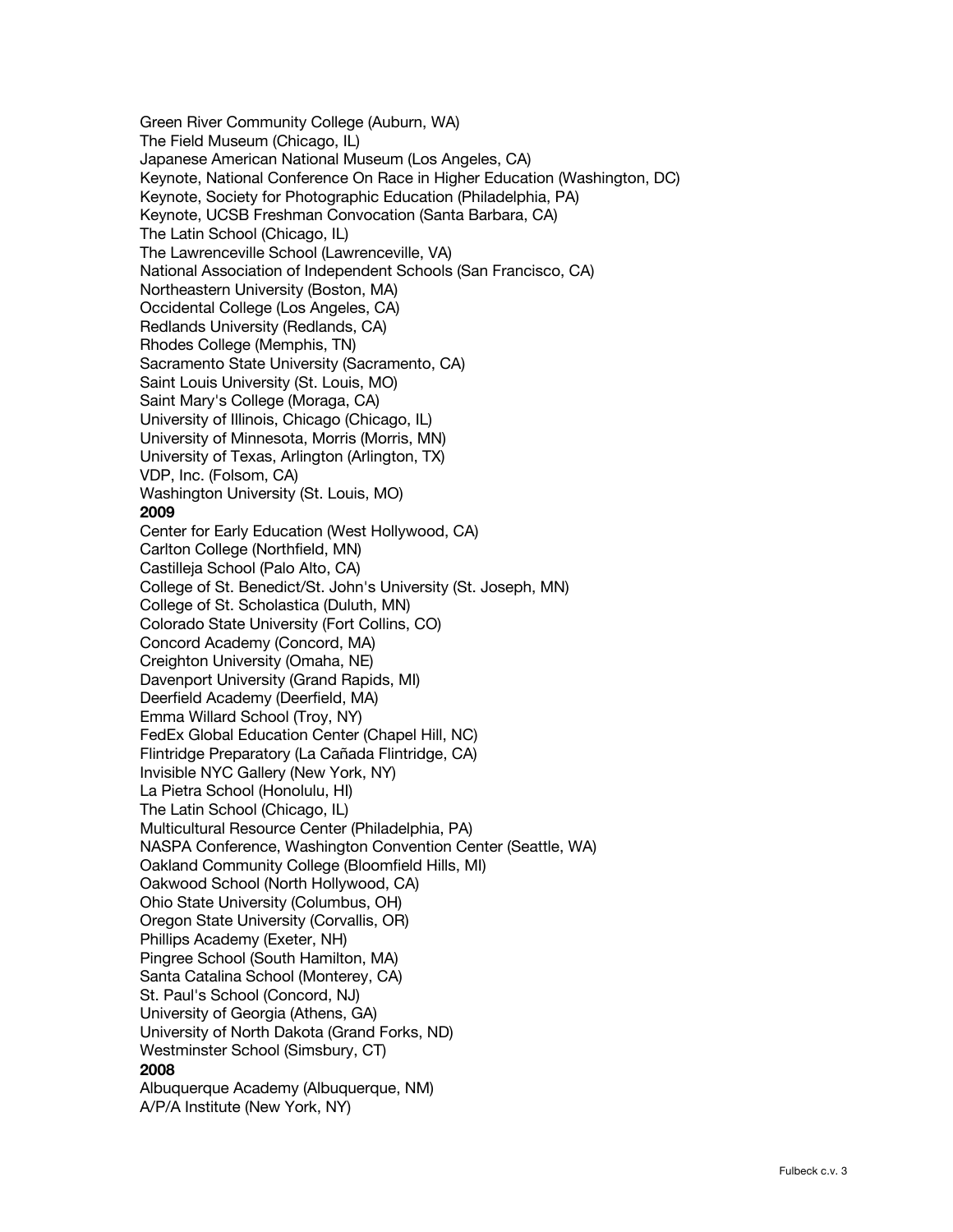Green River Community College (Auburn, WA) The Field Museum (Chicago, IL) Japanese American National Museum (Los Angeles, CA) Keynote, National Conference On Race in Higher Education (Washington, DC) Keynote, Society for Photographic Education (Philadelphia, PA) Keynote, UCSB Freshman Convocation (Santa Barbara, CA) The Latin School (Chicago, IL) The Lawrenceville School (Lawrenceville, VA) National Association of Independent Schools (San Francisco, CA) Northeastern University (Boston, MA) Occidental College (Los Angeles, CA) Redlands University (Redlands, CA) Rhodes College (Memphis, TN) Sacramento State University (Sacramento, CA) Saint Louis University (St. Louis, MO) Saint Mary's College (Moraga, CA) University of Illinois, Chicago (Chicago, IL) University of Minnesota, Morris (Morris, MN) University of Texas, Arlington (Arlington, TX) VDP, Inc. (Folsom, CA) Washington University (St. Louis, MO) **2009** Center for Early Education (West Hollywood, CA) Carlton College (Northfield, MN) Castilleja School (Palo Alto, CA) College of St. Benedict/St. John's University (St. Joseph, MN) College of St. Scholastica (Duluth, MN) Colorado State University (Fort Collins, CO) Concord Academy (Concord, MA) Creighton University (Omaha, NE) Davenport University (Grand Rapids, MI) Deerfield Academy (Deerfield, MA) Emma Willard School (Troy, NY) FedEx Global Education Center (Chapel Hill, NC) Flintridge Preparatory (La Cañada Flintridge, CA) Invisible NYC Gallery (New York, NY) La Pietra School (Honolulu, HI) The Latin School (Chicago, IL) Multicultural Resource Center (Philadelphia, PA) NASPA Conference, Washington Convention Center (Seattle, WA) Oakland Community College (Bloomfield Hills, MI) Oakwood School (North Hollywood, CA) Ohio State University (Columbus, OH) Oregon State University (Corvallis, OR) Phillips Academy (Exeter, NH) Pingree School (South Hamilton, MA) Santa Catalina School (Monterey, CA) St. Paul's School (Concord, NJ) University of Georgia (Athens, GA) University of North Dakota (Grand Forks, ND) Westminster School (Simsbury, CT) **2008** Albuquerque Academy (Albuquerque, NM) A/P/A Institute (New York, NY)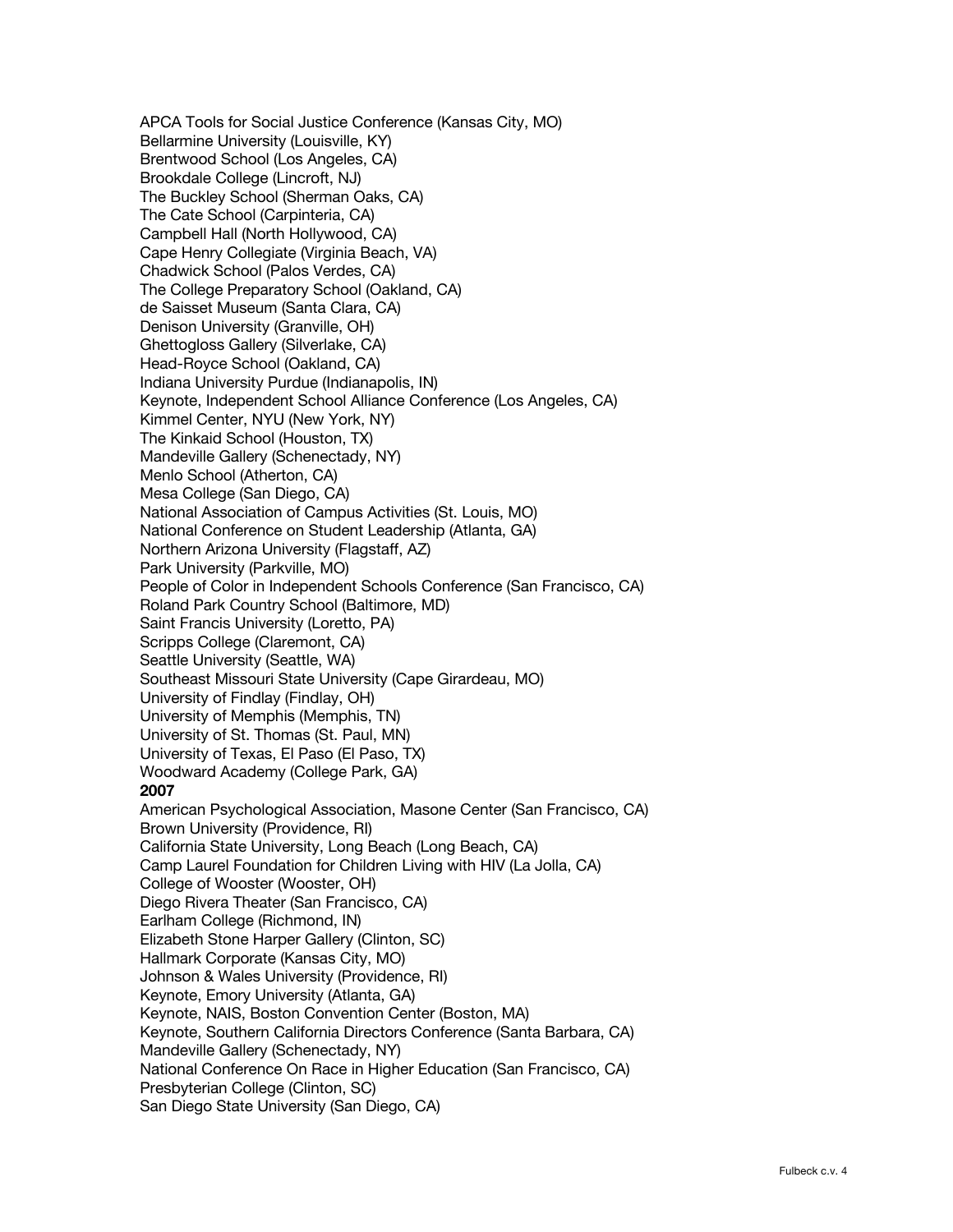APCA Tools for Social Justice Conference (Kansas City, MO) Bellarmine University (Louisville, KY) Brentwood School (Los Angeles, CA) Brookdale College (Lincroft, NJ) The Buckley School (Sherman Oaks, CA) The Cate School (Carpinteria, CA) Campbell Hall (North Hollywood, CA) Cape Henry Collegiate (Virginia Beach, VA) Chadwick School (Palos Verdes, CA) The College Preparatory School (Oakland, CA) de Saisset Museum (Santa Clara, CA) Denison University (Granville, OH) Ghettogloss Gallery (Silverlake, CA) Head-Royce School (Oakland, CA) Indiana University Purdue (Indianapolis, IN) Keynote, Independent School Alliance Conference (Los Angeles, CA) Kimmel Center, NYU (New York, NY) The Kinkaid School (Houston, TX) Mandeville Gallery (Schenectady, NY) Menlo School (Atherton, CA) Mesa College (San Diego, CA) National Association of Campus Activities (St. Louis, MO) National Conference on Student Leadership (Atlanta, GA) Northern Arizona University (Flagstaff, AZ) Park University (Parkville, MO) People of Color in Independent Schools Conference (San Francisco, CA) Roland Park Country School (Baltimore, MD) Saint Francis University (Loretto, PA) Scripps College (Claremont, CA) Seattle University (Seattle, WA) Southeast Missouri State University (Cape Girardeau, MO) University of Findlay (Findlay, OH) University of Memphis (Memphis, TN) University of St. Thomas (St. Paul, MN) University of Texas, El Paso (El Paso, TX) Woodward Academy (College Park, GA) **2007** American Psychological Association, Masone Center (San Francisco, CA) Brown University (Providence, RI) California State University, Long Beach (Long Beach, CA) Camp Laurel Foundation for Children Living with HIV (La Jolla, CA) College of Wooster (Wooster, OH) Diego Rivera Theater (San Francisco, CA) Earlham College (Richmond, IN) Elizabeth Stone Harper Gallery (Clinton, SC) Hallmark Corporate (Kansas City, MO) Johnson & Wales University (Providence, RI) Keynote, Emory University (Atlanta, GA) Keynote, NAIS, Boston Convention Center (Boston, MA) Keynote, Southern California Directors Conference (Santa Barbara, CA) Mandeville Gallery (Schenectady, NY) National Conference On Race in Higher Education (San Francisco, CA) Presbyterian College (Clinton, SC) San Diego State University (San Diego, CA)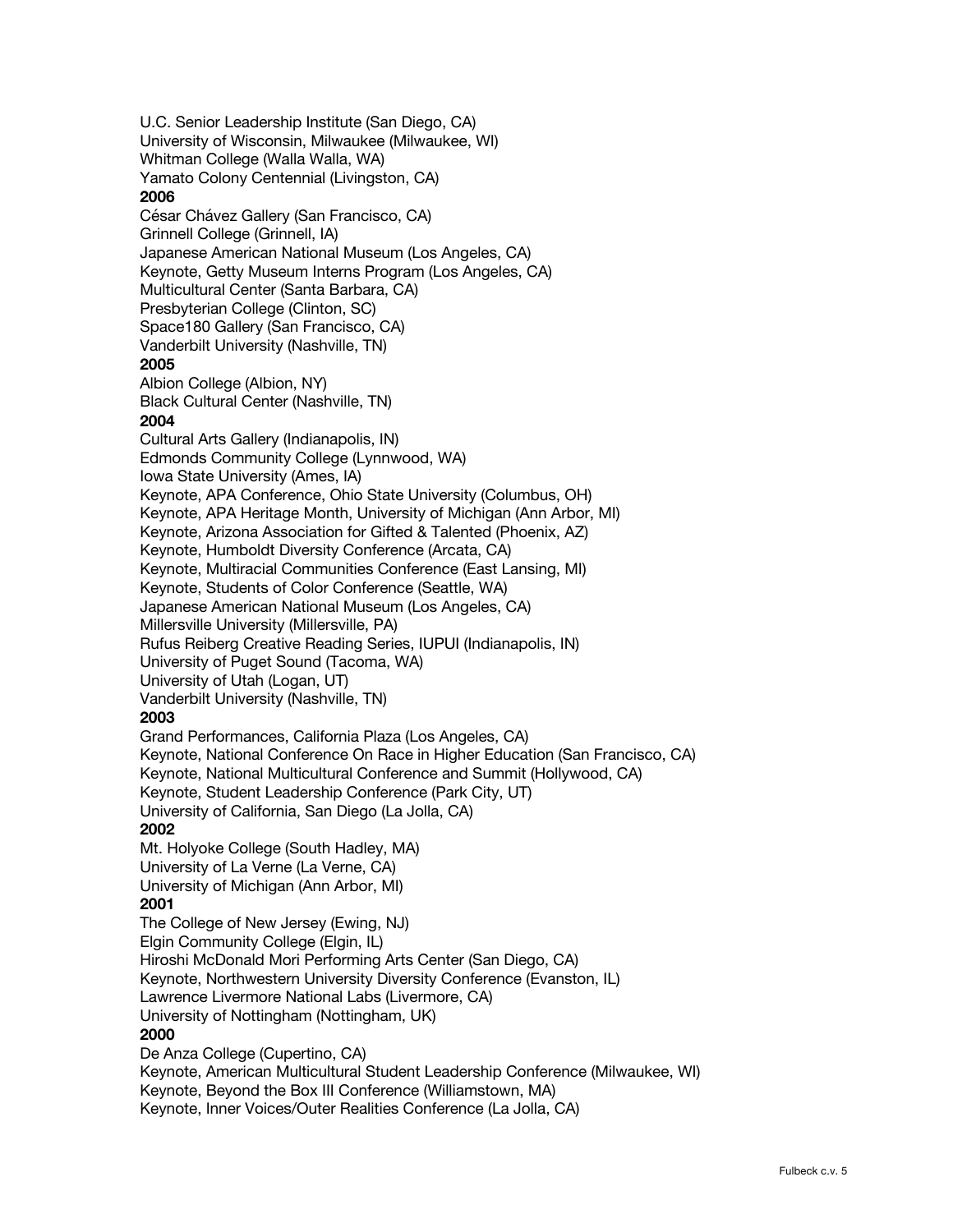U.C. Senior Leadership Institute (San Diego, CA) University of Wisconsin, Milwaukee (Milwaukee, WI) Whitman College (Walla Walla, WA) Yamato Colony Centennial (Livingston, CA) **2006** César Chávez Gallery (San Francisco, CA) Grinnell College (Grinnell, IA) Japanese American National Museum (Los Angeles, CA) Keynote, Getty Museum Interns Program (Los Angeles, CA) Multicultural Center (Santa Barbara, CA) Presbyterian College (Clinton, SC) Space180 Gallery (San Francisco, CA) Vanderbilt University (Nashville, TN) **2005** Albion College (Albion, NY) Black Cultural Center (Nashville, TN) **2004** Cultural Arts Gallery (Indianapolis, IN) Edmonds Community College (Lynnwood, WA) Iowa State University (Ames, IA) Keynote, APA Conference, Ohio State University (Columbus, OH) Keynote, APA Heritage Month, University of Michigan (Ann Arbor, MI) Keynote, Arizona Association for Gifted & Talented (Phoenix, AZ) Keynote, Humboldt Diversity Conference (Arcata, CA) Keynote, Multiracial Communities Conference (East Lansing, MI) Keynote, Students of Color Conference (Seattle, WA) Japanese American National Museum (Los Angeles, CA) Millersville University (Millersville, PA) Rufus Reiberg Creative Reading Series, IUPUI (Indianapolis, IN) University of Puget Sound (Tacoma, WA) University of Utah (Logan, UT) Vanderbilt University (Nashville, TN) **2003** Grand Performances, California Plaza (Los Angeles, CA) Keynote, National Conference On Race in Higher Education (San Francisco, CA) Keynote, National Multicultural Conference and Summit (Hollywood, CA) Keynote, Student Leadership Conference (Park City, UT) University of California, San Diego (La Jolla, CA) **2002** Mt. Holyoke College (South Hadley, MA) University of La Verne (La Verne, CA) University of Michigan (Ann Arbor, MI) **2001** The College of New Jersey (Ewing, NJ) Elgin Community College (Elgin, IL) Hiroshi McDonald Mori Performing Arts Center (San Diego, CA) Keynote, Northwestern University Diversity Conference (Evanston, IL) Lawrence Livermore National Labs (Livermore, CA) University of Nottingham (Nottingham, UK) **2000**  De Anza College (Cupertino, CA) Keynote, American Multicultural Student Leadership Conference (Milwaukee, WI) Keynote, Beyond the Box III Conference (Williamstown, MA)

Keynote, Inner Voices/Outer Realities Conference (La Jolla, CA)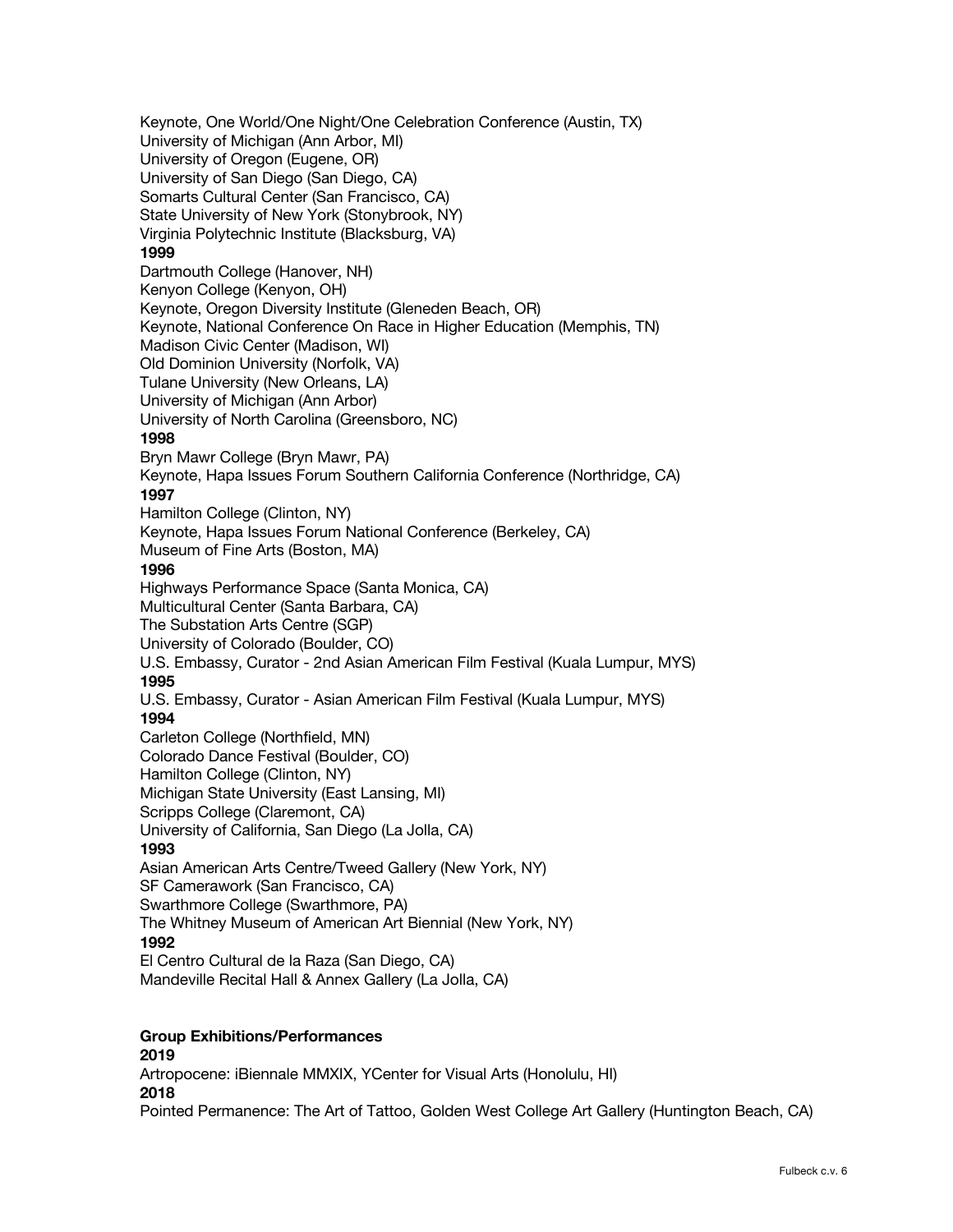Keynote, One World/One Night/One Celebration Conference (Austin, TX) University of Michigan (Ann Arbor, MI) University of Oregon (Eugene, OR) University of San Diego (San Diego, CA) Somarts Cultural Center (San Francisco, CA) State University of New York (Stonybrook, NY) Virginia Polytechnic Institute (Blacksburg, VA) **1999** Dartmouth College (Hanover, NH) Kenyon College (Kenyon, OH) Keynote, Oregon Diversity Institute (Gleneden Beach, OR) Keynote, National Conference On Race in Higher Education (Memphis, TN) Madison Civic Center (Madison, WI) Old Dominion University (Norfolk, VA) Tulane University (New Orleans, LA) University of Michigan (Ann Arbor) University of North Carolina (Greensboro, NC) **1998** Bryn Mawr College (Bryn Mawr, PA) Keynote, Hapa Issues Forum Southern California Conference (Northridge, CA) **1997** Hamilton College (Clinton, NY) Keynote, Hapa Issues Forum National Conference (Berkeley, CA) Museum of Fine Arts (Boston, MA) **1996** Highways Performance Space (Santa Monica, CA) Multicultural Center (Santa Barbara, CA) The Substation Arts Centre (SGP) University of Colorado (Boulder, CO) U.S. Embassy, Curator - 2nd Asian American Film Festival (Kuala Lumpur, MYS) **1995** U.S. Embassy, Curator - Asian American Film Festival (Kuala Lumpur, MYS) **1994** Carleton College (Northfield, MN) Colorado Dance Festival (Boulder, CO) Hamilton College (Clinton, NY) Michigan State University (East Lansing, MI) Scripps College (Claremont, CA) University of California, San Diego (La Jolla, CA) **1993** Asian American Arts Centre/Tweed Gallery (New York, NY) SF Camerawork (San Francisco, CA) Swarthmore College (Swarthmore, PA) The Whitney Museum of American Art Biennial (New York, NY) **1992** El Centro Cultural de la Raza (San Diego, CA) Mandeville Recital Hall & Annex Gallery (La Jolla, CA) **Group Exhibitions/Performances 2019**

Artropocene: iBiennale MMXIX, YCenter for Visual Arts (Honolulu, HI) **2018** Pointed Permanence: The Art of Tattoo, Golden West College Art Gallery (Huntington Beach, CA)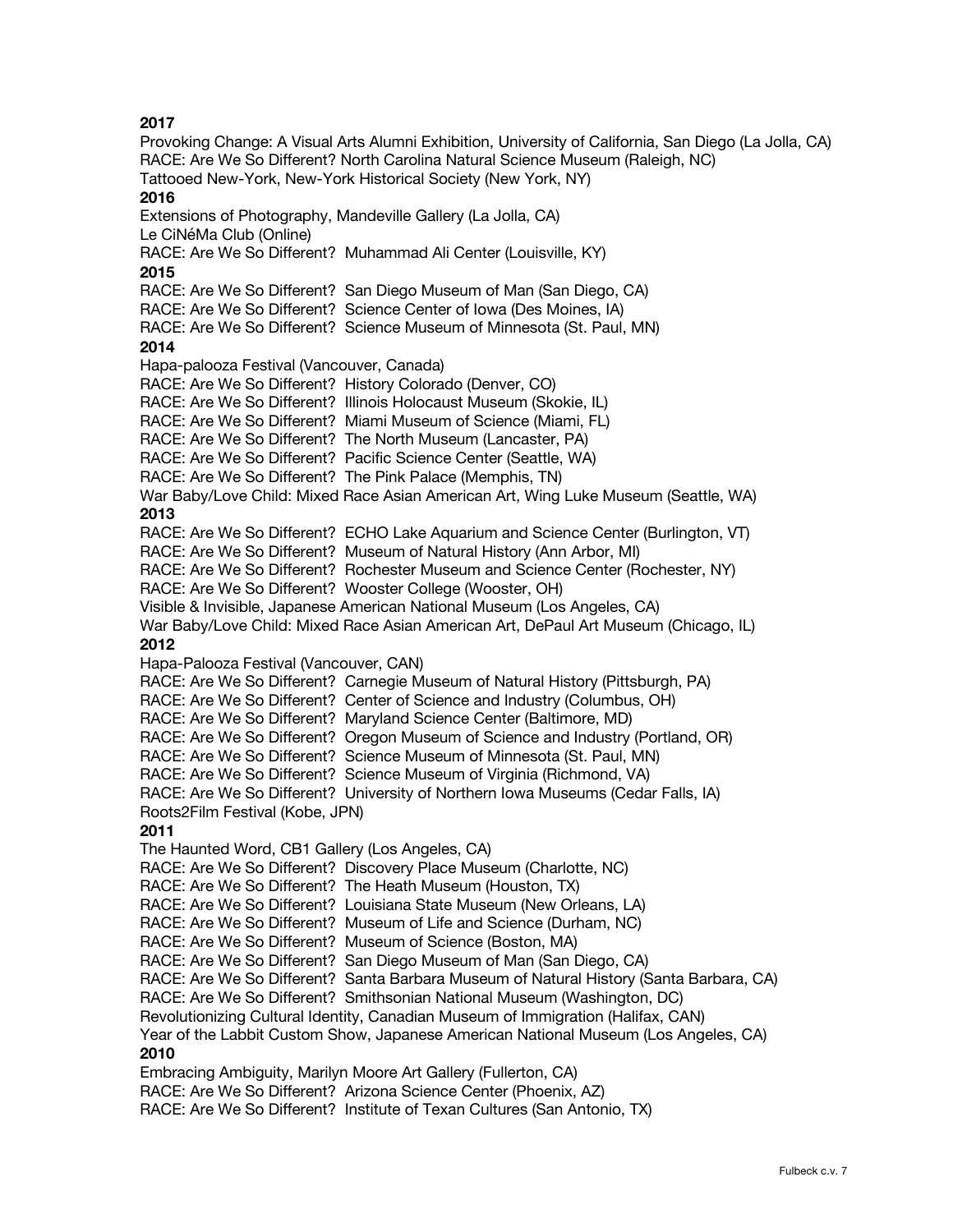Provoking Change: A Visual Arts Alumni Exhibition, University of California, San Diego (La Jolla, CA) RACE: Are We So Different? North Carolina Natural Science Museum (Raleigh, NC) Tattooed New-York, New-York Historical Society (New York, NY) **2016** Extensions of Photography, Mandeville Gallery (La Jolla, CA) Le CiNéMa Club (Online) RACE: Are We So Different? Muhammad Ali Center (Louisville, KY) **2015** RACE: Are We So Different? San Diego Museum of Man (San Diego, CA) RACE: Are We So Different? Science Center of Iowa (Des Moines, IA) RACE: Are We So Different? Science Museum of Minnesota (St. Paul, MN) **2014** Hapa-palooza Festival (Vancouver, Canada) RACE: Are We So Different? History Colorado (Denver, CO) RACE: Are We So Different? Illinois Holocaust Museum (Skokie, IL) RACE: Are We So Different? Miami Museum of Science (Miami, FL) RACE: Are We So Different? The North Museum (Lancaster, PA) RACE: Are We So Different? Pacific Science Center (Seattle, WA) RACE: Are We So Different? The Pink Palace (Memphis, TN) War Baby/Love Child: Mixed Race Asian American Art, Wing Luke Museum (Seattle, WA) **2013** RACE: Are We So Different? ECHO Lake Aquarium and Science Center (Burlington, VT) RACE: Are We So Different? Museum of Natural History (Ann Arbor, MI) RACE: Are We So Different? Rochester Museum and Science Center (Rochester, NY) RACE: Are We So Different? Wooster College (Wooster, OH) Visible & Invisible, Japanese American National Museum (Los Angeles, CA) War Baby/Love Child: Mixed Race Asian American Art, DePaul Art Museum (Chicago, IL) **2012** Hapa-Palooza Festival (Vancouver, CAN) RACE: Are We So Different? Carnegie Museum of Natural History (Pittsburgh, PA) RACE: Are We So Different? Center of Science and Industry (Columbus, OH) RACE: Are We So Different? Maryland Science Center (Baltimore, MD) RACE: Are We So Different? Oregon Museum of Science and Industry (Portland, OR) RACE: Are We So Different? Science Museum of Minnesota (St. Paul, MN) RACE: Are We So Different? Science Museum of Virginia (Richmond, VA) RACE: Are We So Different? University of Northern Iowa Museums (Cedar Falls, IA) Roots2Film Festival (Kobe, JPN) **2011** The Haunted Word, CB1 Gallery (Los Angeles, CA) RACE: Are We So Different? Discovery Place Museum (Charlotte, NC) RACE: Are We So Different? The Heath Museum (Houston, TX) RACE: Are We So Different? Louisiana State Museum (New Orleans, LA) RACE: Are We So Different? Museum of Life and Science (Durham, NC) RACE: Are We So Different? Museum of Science (Boston, MA) RACE: Are We So Different? San Diego Museum of Man (San Diego, CA) RACE: Are We So Different? Santa Barbara Museum of Natural History (Santa Barbara, CA) RACE: Are We So Different? Smithsonian National Museum (Washington, DC) Revolutionizing Cultural Identity, Canadian Museum of Immigration (Halifax, CAN) Year of the Labbit Custom Show, Japanese American National Museum (Los Angeles, CA) **2010** Embracing Ambiguity, Marilyn Moore Art Gallery (Fullerton, CA) RACE: Are We So Different? Arizona Science Center (Phoenix, AZ) RACE: Are We So Different? Institute of Texan Cultures (San Antonio, TX)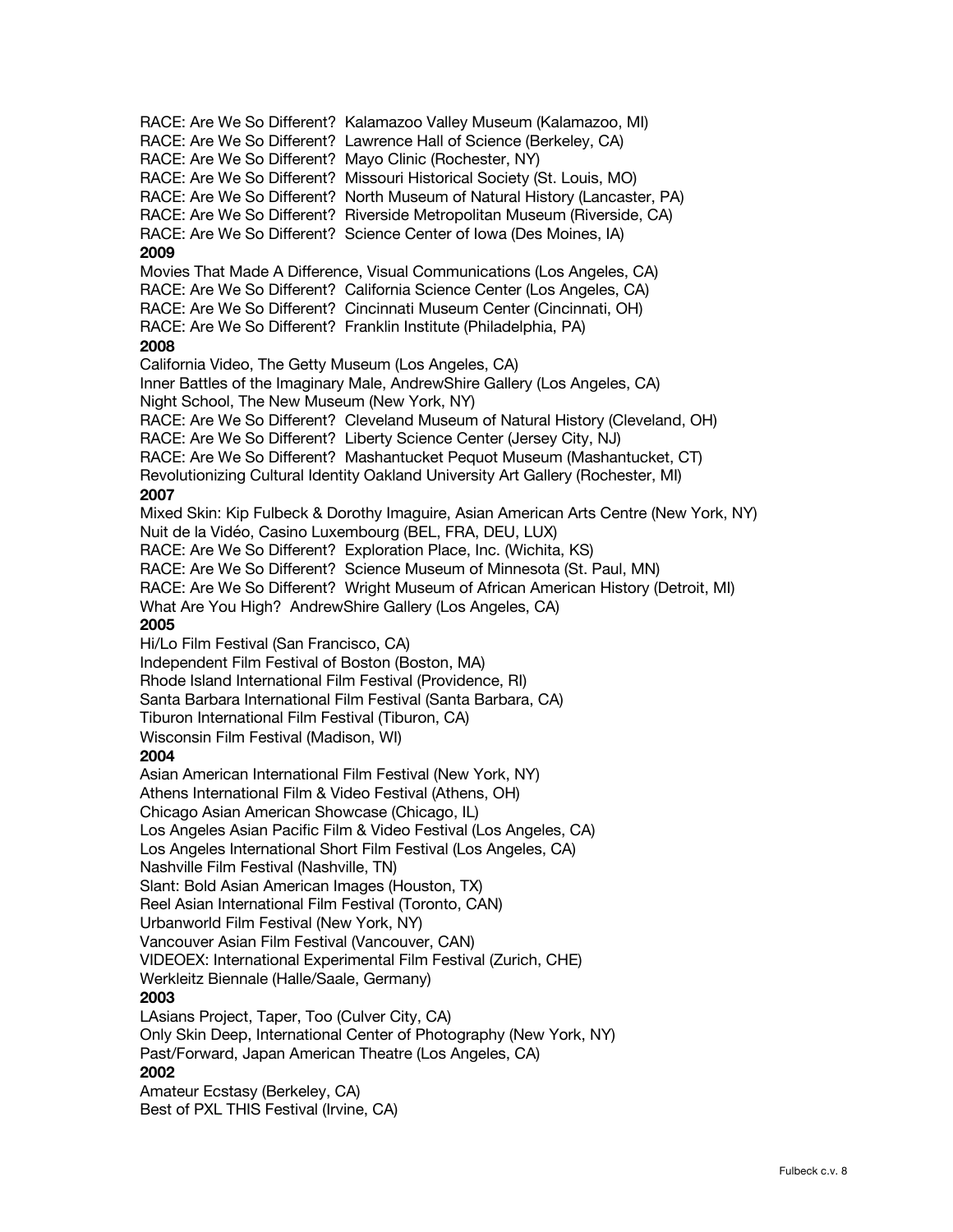RACE: Are We So Different? Kalamazoo Valley Museum (Kalamazoo, MI) RACE: Are We So Different? Lawrence Hall of Science (Berkeley, CA) RACE: Are We So Different? Mayo Clinic (Rochester, NY) RACE: Are We So Different? Missouri Historical Society (St. Louis, MO) RACE: Are We So Different? North Museum of Natural History (Lancaster, PA) RACE: Are We So Different? Riverside Metropolitan Museum (Riverside, CA) RACE: Are We So Different? Science Center of Iowa (Des Moines, IA) **2009** Movies That Made A Difference, Visual Communications (Los Angeles, CA) RACE: Are We So Different? California Science Center (Los Angeles, CA) RACE: Are We So Different? Cincinnati Museum Center (Cincinnati, OH) RACE: Are We So Different? Franklin Institute (Philadelphia, PA) **2008** California Video, The Getty Museum (Los Angeles, CA) Inner Battles of the Imaginary Male, AndrewShire Gallery (Los Angeles, CA) Night School, The New Museum (New York, NY) RACE: Are We So Different? Cleveland Museum of Natural History (Cleveland, OH) RACE: Are We So Different? Liberty Science Center (Jersey City, NJ) RACE: Are We So Different? Mashantucket Pequot Museum (Mashantucket, CT) Revolutionizing Cultural Identity Oakland University Art Gallery (Rochester, MI) **2007** Mixed Skin: Kip Fulbeck & Dorothy Imaguire, Asian American Arts Centre (New York, NY) Nuit de la Vidéo, Casino Luxembourg (BEL, FRA, DEU, LUX) RACE: Are We So Different? Exploration Place, Inc. (Wichita, KS) RACE: Are We So Different? Science Museum of Minnesota (St. Paul, MN) RACE: Are We So Different? Wright Museum of African American History (Detroit, MI) What Are You High? AndrewShire Gallery (Los Angeles, CA) **2005** Hi/Lo Film Festival (San Francisco, CA) Independent Film Festival of Boston (Boston, MA) Rhode Island International Film Festival (Providence, RI) Santa Barbara International Film Festival (Santa Barbara, CA) Tiburon International Film Festival (Tiburon, CA) Wisconsin Film Festival (Madison, WI) **2004** Asian American International Film Festival (New York, NY) Athens International Film & Video Festival (Athens, OH) Chicago Asian American Showcase (Chicago, IL) Los Angeles Asian Pacific Film & Video Festival (Los Angeles, CA) Los Angeles International Short Film Festival (Los Angeles, CA) Nashville Film Festival (Nashville, TN) Slant: Bold Asian American Images (Houston, TX) Reel Asian International Film Festival (Toronto, CAN) Urbanworld Film Festival (New York, NY) Vancouver Asian Film Festival (Vancouver, CAN) VIDEOEX: International Experimental Film Festival (Zurich, CHE) Werkleitz Biennale (Halle/Saale, Germany) **2003** LAsians Project, Taper, Too (Culver City, CA) Only Skin Deep, International Center of Photography (New York, NY) Past/Forward, Japan American Theatre (Los Angeles, CA) **2002**

Amateur Ecstasy (Berkeley, CA) Best of PXL THIS Festival (Irvine, CA)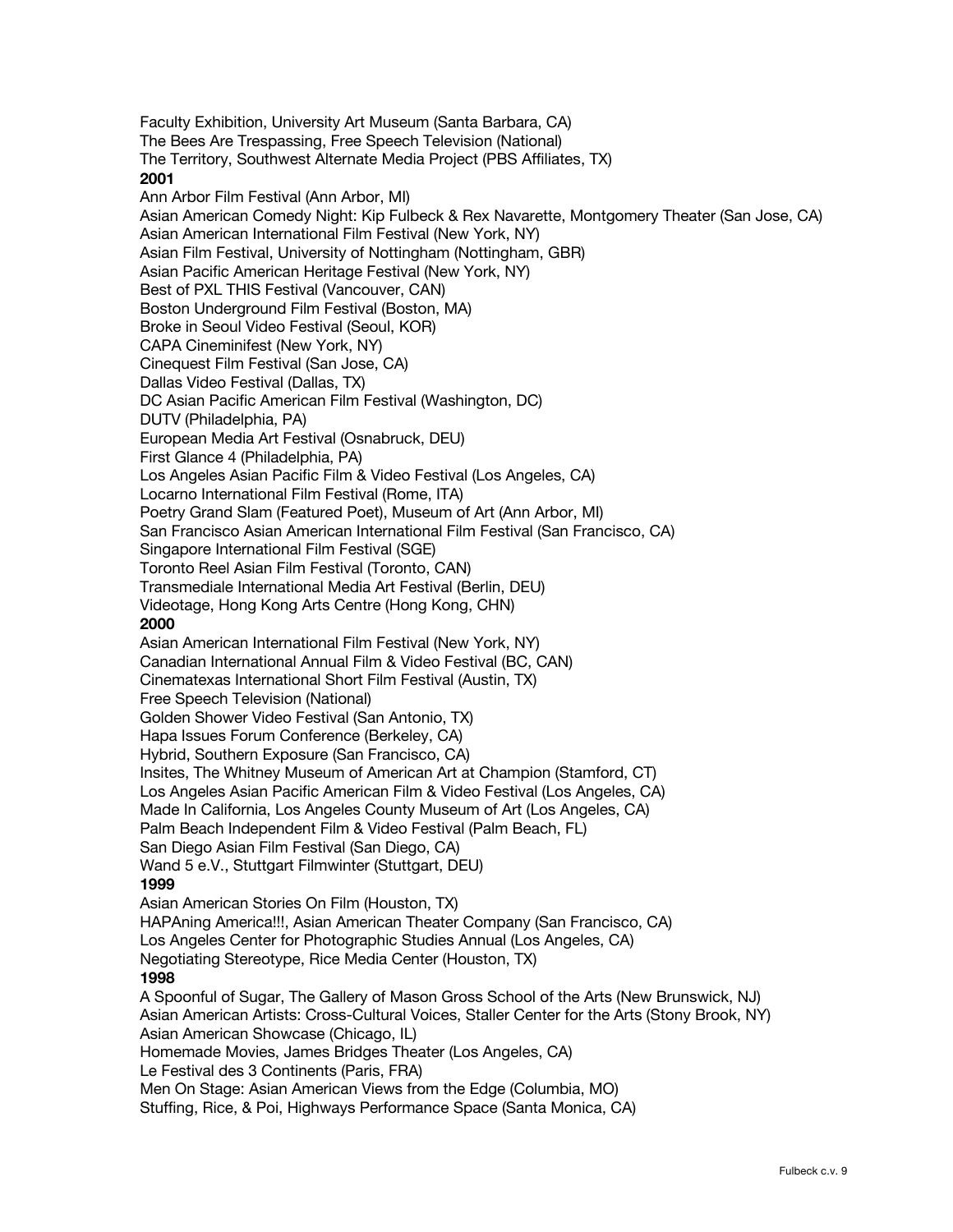Faculty Exhibition, University Art Museum (Santa Barbara, CA) The Bees Are Trespassing, Free Speech Television (National) The Territory, Southwest Alternate Media Project (PBS Affiliates, TX) **2001**  Ann Arbor Film Festival (Ann Arbor, MI) Asian American Comedy Night: Kip Fulbeck & Rex Navarette, Montgomery Theater (San Jose, CA) Asian American International Film Festival (New York, NY) Asian Film Festival, University of Nottingham (Nottingham, GBR) Asian Pacific American Heritage Festival (New York, NY) Best of PXL THIS Festival (Vancouver, CAN) Boston Underground Film Festival (Boston, MA) Broke in Seoul Video Festival (Seoul, KOR) CAPA Cineminifest (New York, NY) Cinequest Film Festival (San Jose, CA) Dallas Video Festival (Dallas, TX) DC Asian Pacific American Film Festival (Washington, DC) DUTV (Philadelphia, PA) European Media Art Festival (Osnabruck, DEU) First Glance 4 (Philadelphia, PA) Los Angeles Asian Pacific Film & Video Festival (Los Angeles, CA) Locarno International Film Festival (Rome, ITA) Poetry Grand Slam (Featured Poet), Museum of Art (Ann Arbor, MI) San Francisco Asian American International Film Festival (San Francisco, CA) Singapore International Film Festival (SGE) Toronto Reel Asian Film Festival (Toronto, CAN) Transmediale International Media Art Festival (Berlin, DEU) Videotage, Hong Kong Arts Centre (Hong Kong, CHN) **2000** Asian American International Film Festival (New York, NY) Canadian International Annual Film & Video Festival (BC, CAN) Cinematexas International Short Film Festival (Austin, TX) Free Speech Television (National) Golden Shower Video Festival (San Antonio, TX) Hapa Issues Forum Conference (Berkeley, CA) Hybrid, Southern Exposure (San Francisco, CA) Insites, The Whitney Museum of American Art at Champion (Stamford, CT) Los Angeles Asian Pacific American Film & Video Festival (Los Angeles, CA) Made In California, Los Angeles County Museum of Art (Los Angeles, CA) Palm Beach Independent Film & Video Festival (Palm Beach, FL) San Diego Asian Film Festival (San Diego, CA) Wand 5 e.V., Stuttgart Filmwinter (Stuttgart, DEU) **1999** Asian American Stories On Film (Houston, TX) HAPAning America!!!, Asian American Theater Company (San Francisco, CA) Los Angeles Center for Photographic Studies Annual (Los Angeles, CA) Negotiating Stereotype, Rice Media Center (Houston, TX) **1998** A Spoonful of Sugar, The Gallery of Mason Gross School of the Arts (New Brunswick, NJ) Asian American Artists: Cross-Cultural Voices, Staller Center for the Arts (Stony Brook, NY) Asian American Showcase (Chicago, IL) Homemade Movies, James Bridges Theater (Los Angeles, CA) Le Festival des 3 Continents (Paris, FRA) Men On Stage: Asian American Views from the Edge (Columbia, MO) Stuffing, Rice, & Poi, Highways Performance Space (Santa Monica, CA)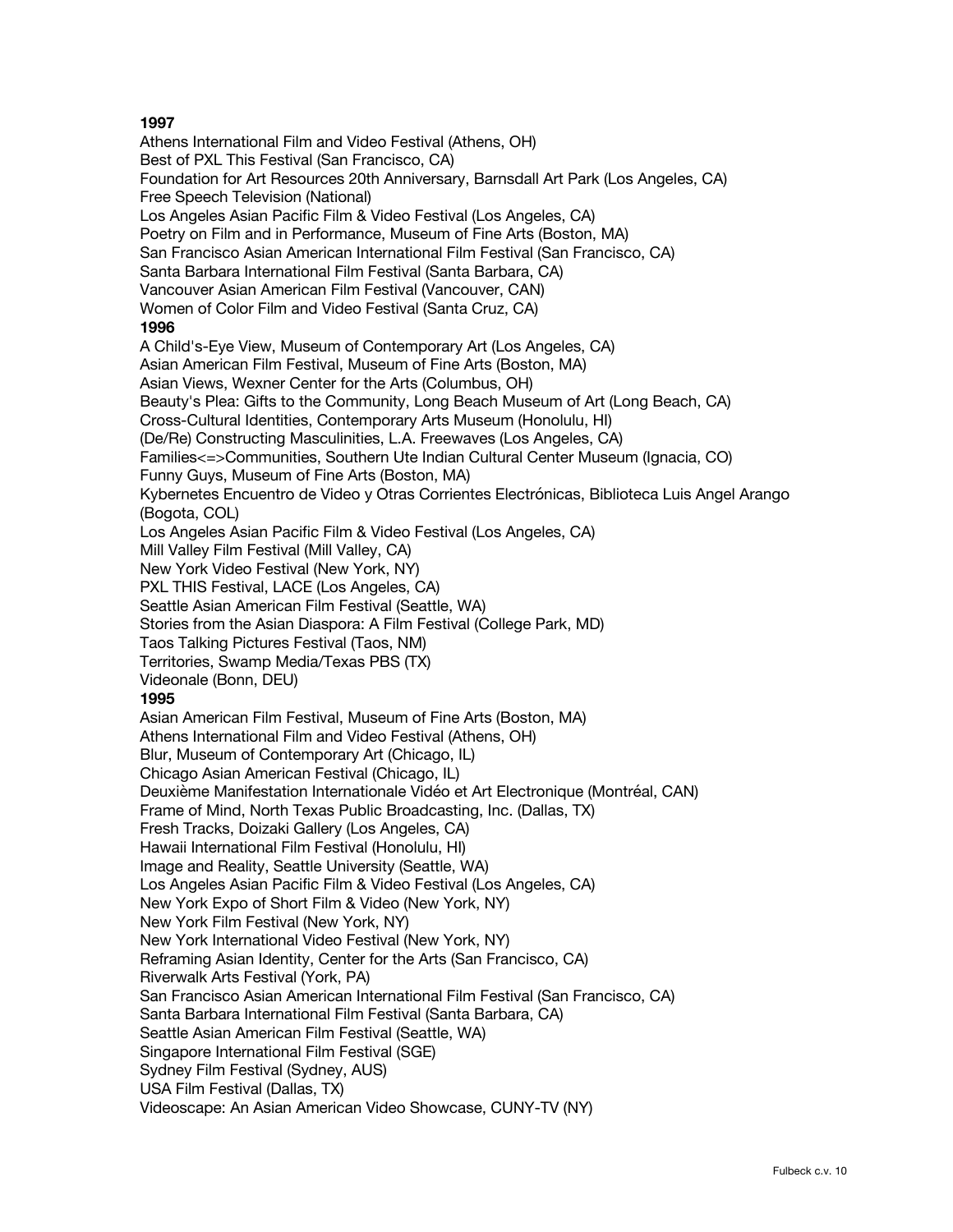Athens International Film and Video Festival (Athens, OH) Best of PXL This Festival (San Francisco, CA) Foundation for Art Resources 20th Anniversary, Barnsdall Art Park (Los Angeles, CA) Free Speech Television (National) Los Angeles Asian Pacific Film & Video Festival (Los Angeles, CA) Poetry on Film and in Performance, Museum of Fine Arts (Boston, MA) San Francisco Asian American International Film Festival (San Francisco, CA) Santa Barbara International Film Festival (Santa Barbara, CA) Vancouver Asian American Film Festival (Vancouver, CAN) Women of Color Film and Video Festival (Santa Cruz, CA) **1996** A Child's-Eye View, Museum of Contemporary Art (Los Angeles, CA) Asian American Film Festival, Museum of Fine Arts (Boston, MA) Asian Views, Wexner Center for the Arts (Columbus, OH) Beauty's Plea: Gifts to the Community, Long Beach Museum of Art (Long Beach, CA) Cross-Cultural Identities, Contemporary Arts Museum (Honolulu, HI) (De/Re) Constructing Masculinities, L.A. Freewaves (Los Angeles, CA) Families<=>Communities, Southern Ute Indian Cultural Center Museum (Ignacia, CO) Funny Guys, Museum of Fine Arts (Boston, MA) Kybernetes Encuentro de Video y Otras Corrientes Electrónicas, Biblioteca Luis Angel Arango (Bogota, COL) Los Angeles Asian Pacific Film & Video Festival (Los Angeles, CA) Mill Valley Film Festival (Mill Valley, CA) New York Video Festival (New York, NY) PXL THIS Festival, LACE (Los Angeles, CA) Seattle Asian American Film Festival (Seattle, WA) Stories from the Asian Diaspora: A Film Festival (College Park, MD) Taos Talking Pictures Festival (Taos, NM) Territories, Swamp Media/Texas PBS (TX) Videonale (Bonn, DEU) **1995** Asian American Film Festival, Museum of Fine Arts (Boston, MA) Athens International Film and Video Festival (Athens, OH) Blur, Museum of Contemporary Art (Chicago, IL) Chicago Asian American Festival (Chicago, IL) Deuxième Manifestation Internationale Vidéo et Art Electronique (Montréal, CAN) Frame of Mind, North Texas Public Broadcasting, Inc. (Dallas, TX) Fresh Tracks, Doizaki Gallery (Los Angeles, CA) Hawaii International Film Festival (Honolulu, HI) Image and Reality, Seattle University (Seattle, WA) Los Angeles Asian Pacific Film & Video Festival (Los Angeles, CA) New York Expo of Short Film & Video (New York, NY) New York Film Festival (New York, NY) New York International Video Festival (New York, NY) Reframing Asian Identity, Center for the Arts (San Francisco, CA) Riverwalk Arts Festival (York, PA) San Francisco Asian American International Film Festival (San Francisco, CA) Santa Barbara International Film Festival (Santa Barbara, CA) Seattle Asian American Film Festival (Seattle, WA) Singapore International Film Festival (SGE) Sydney Film Festival (Sydney, AUS) USA Film Festival (Dallas, TX) Videoscape: An Asian American Video Showcase, CUNY-TV (NY)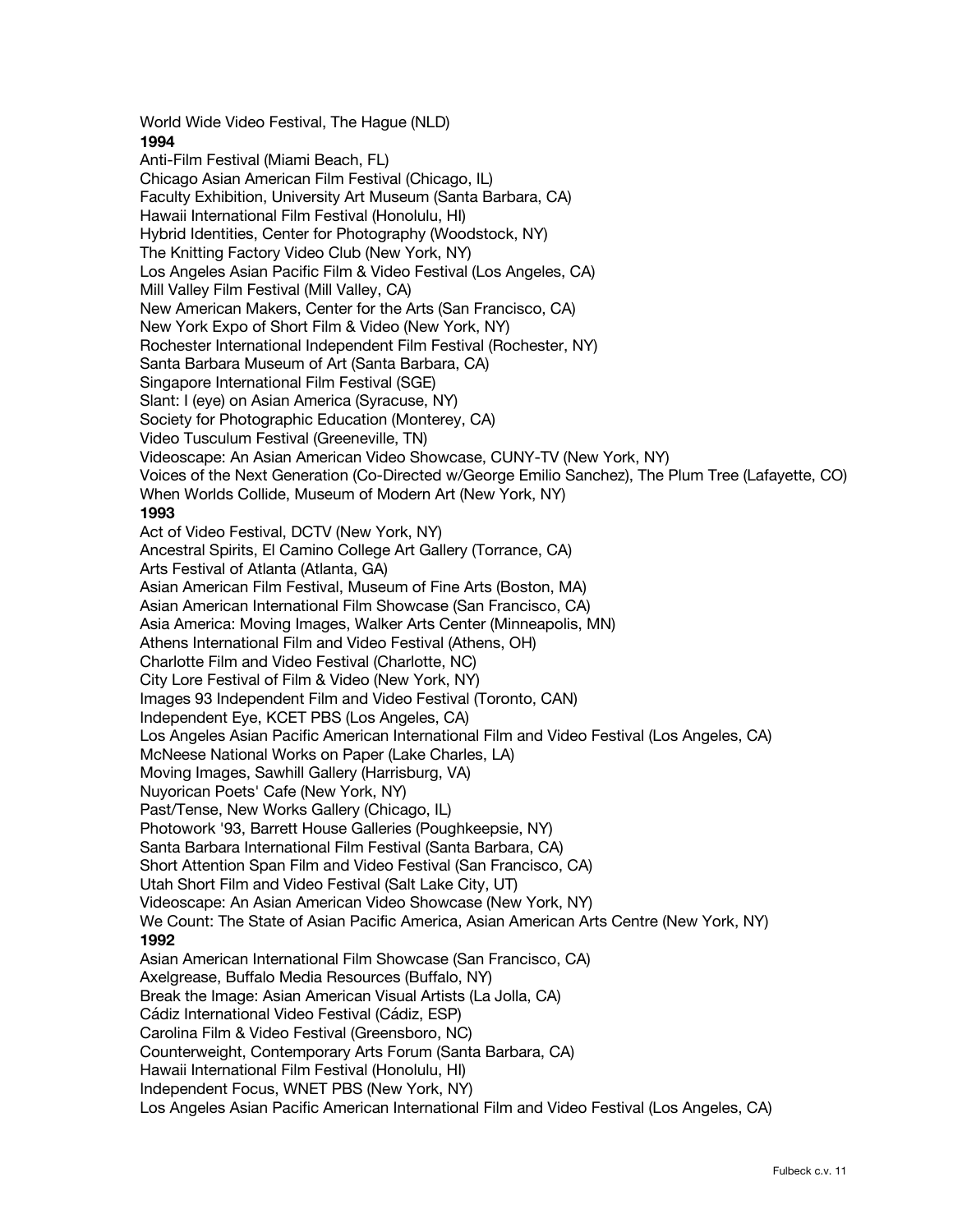World Wide Video Festival, The Hague (NLD) **1994** Anti-Film Festival (Miami Beach, FL) Chicago Asian American Film Festival (Chicago, IL) Faculty Exhibition, University Art Museum (Santa Barbara, CA) Hawaii International Film Festival (Honolulu, HI) Hybrid Identities, Center for Photography (Woodstock, NY) The Knitting Factory Video Club (New York, NY) Los Angeles Asian Pacific Film & Video Festival (Los Angeles, CA) Mill Valley Film Festival (Mill Valley, CA) New American Makers, Center for the Arts (San Francisco, CA) New York Expo of Short Film & Video (New York, NY) Rochester International Independent Film Festival (Rochester, NY) Santa Barbara Museum of Art (Santa Barbara, CA) Singapore International Film Festival (SGE) Slant: I (eye) on Asian America (Syracuse, NY) Society for Photographic Education (Monterey, CA) Video Tusculum Festival (Greeneville, TN) Videoscape: An Asian American Video Showcase, CUNY-TV (New York, NY) Voices of the Next Generation (Co-Directed w/George Emilio Sanchez), The Plum Tree (Lafayette, CO) When Worlds Collide, Museum of Modern Art (New York, NY) **1993** Act of Video Festival, DCTV (New York, NY) Ancestral Spirits, El Camino College Art Gallery (Torrance, CA) Arts Festival of Atlanta (Atlanta, GA) Asian American Film Festival, Museum of Fine Arts (Boston, MA) Asian American International Film Showcase (San Francisco, CA) Asia America: Moving Images, Walker Arts Center (Minneapolis, MN) Athens International Film and Video Festival (Athens, OH) Charlotte Film and Video Festival (Charlotte, NC) City Lore Festival of Film & Video (New York, NY) Images 93 Independent Film and Video Festival (Toronto, CAN) Independent Eye, KCET PBS (Los Angeles, CA) Los Angeles Asian Pacific American International Film and Video Festival (Los Angeles, CA) McNeese National Works on Paper (Lake Charles, LA) Moving Images, Sawhill Gallery (Harrisburg, VA) Nuyorican Poets' Cafe (New York, NY) Past/Tense, New Works Gallery (Chicago, IL) Photowork '93, Barrett House Galleries (Poughkeepsie, NY) Santa Barbara International Film Festival (Santa Barbara, CA) Short Attention Span Film and Video Festival (San Francisco, CA) Utah Short Film and Video Festival (Salt Lake City, UT) Videoscape: An Asian American Video Showcase (New York, NY) We Count: The State of Asian Pacific America, Asian American Arts Centre (New York, NY) **1992** Asian American International Film Showcase (San Francisco, CA) Axelgrease, Buffalo Media Resources (Buffalo, NY) Break the Image: Asian American Visual Artists (La Jolla, CA) Cádiz International Video Festival (Cádiz, ESP) Carolina Film & Video Festival (Greensboro, NC) Counterweight, Contemporary Arts Forum (Santa Barbara, CA) Hawaii International Film Festival (Honolulu, HI) Independent Focus, WNET PBS (New York, NY) Los Angeles Asian Pacific American International Film and Video Festival (Los Angeles, CA)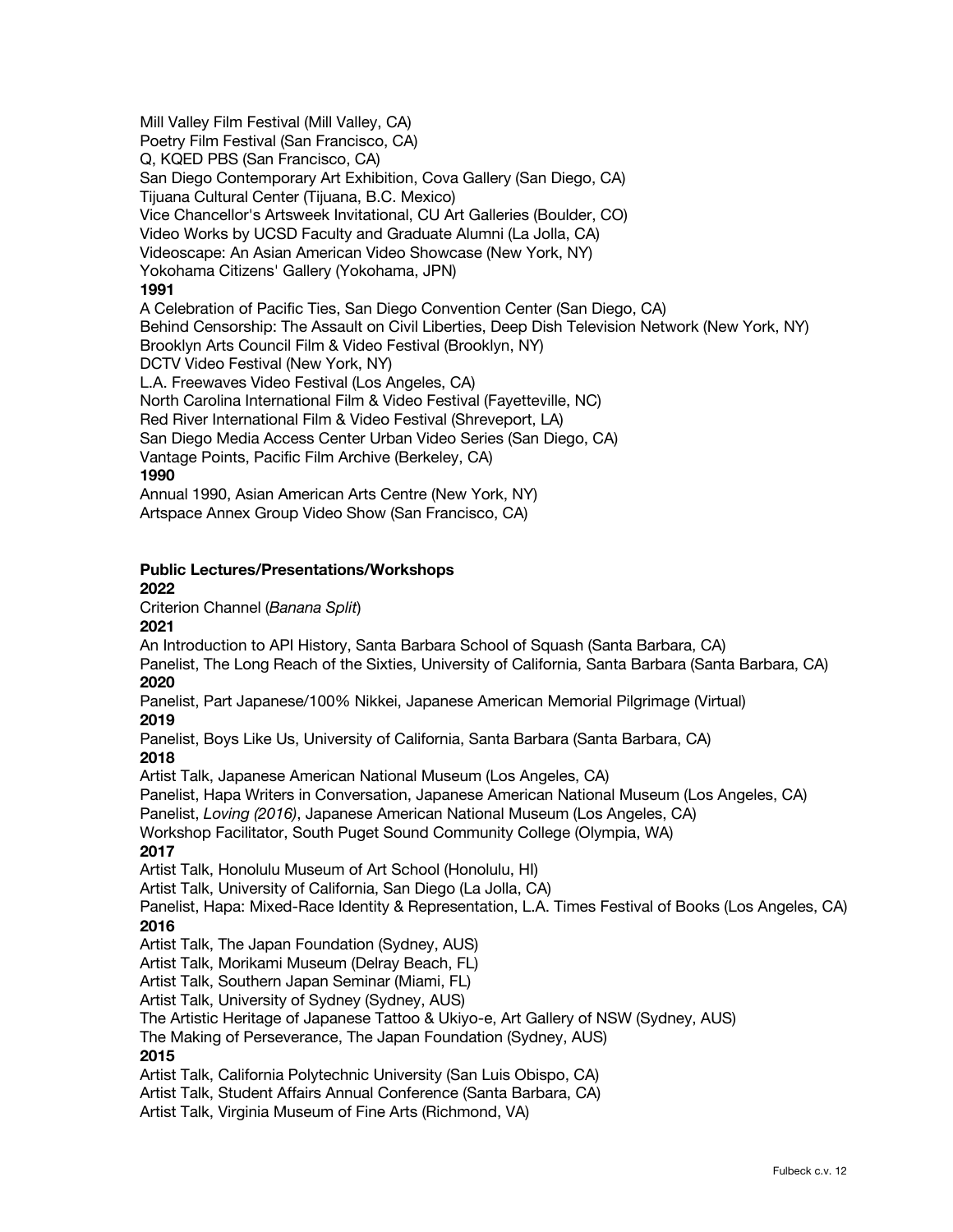Mill Valley Film Festival (Mill Valley, CA) Poetry Film Festival (San Francisco, CA) Q, KQED PBS (San Francisco, CA) San Diego Contemporary Art Exhibition, Cova Gallery (San Diego, CA) Tijuana Cultural Center (Tijuana, B.C. Mexico) Vice Chancellor's Artsweek Invitational, CU Art Galleries (Boulder, CO) Video Works by UCSD Faculty and Graduate Alumni (La Jolla, CA) Videoscape: An Asian American Video Showcase (New York, NY) Yokohama Citizens' Gallery (Yokohama, JPN) **1991** A Celebration of Pacific Ties, San Diego Convention Center (San Diego, CA) Behind Censorship: The Assault on Civil Liberties, Deep Dish Television Network (New York, NY) Brooklyn Arts Council Film & Video Festival (Brooklyn, NY) DCTV Video Festival (New York, NY) L.A. Freewaves Video Festival (Los Angeles, CA) North Carolina International Film & Video Festival (Fayetteville, NC) Red River International Film & Video Festival (Shreveport, LA) San Diego Media Access Center Urban Video Series (San Diego, CA) Vantage Points, Pacific Film Archive (Berkeley, CA) **1990** Annual 1990, Asian American Arts Centre (New York, NY) Artspace Annex Group Video Show (San Francisco, CA)

#### **Public Lectures/Presentations/Workshops 2022**

Criterion Channel (*Banana Split*)

### **2021**

An Introduction to API History, Santa Barbara School of Squash (Santa Barbara, CA)

Panelist, The Long Reach of the Sixties, University of California, Santa Barbara (Santa Barbara, CA) **2020**

Panelist, Part Japanese/100% Nikkei, Japanese American Memorial Pilgrimage (Virtual) **2019**

Panelist, Boys Like Us, University of California, Santa Barbara (Santa Barbara, CA) **2018**

Artist Talk, Japanese American National Museum (Los Angeles, CA)

Panelist, Hapa Writers in Conversation, Japanese American National Museum (Los Angeles, CA)

Panelist, *Loving (2016)*, Japanese American National Museum (Los Angeles, CA)

Workshop Facilitator, South Puget Sound Community College (Olympia, WA)

### **2017**

Artist Talk, Honolulu Museum of Art School (Honolulu, HI)

Artist Talk, University of California, San Diego (La Jolla, CA)

Panelist, Hapa: Mixed-Race Identity & Representation, L.A. Times Festival of Books (Los Angeles, CA) **2016**

Artist Talk, The Japan Foundation (Sydney, AUS)

Artist Talk, Morikami Museum (Delray Beach, FL)

Artist Talk, Southern Japan Seminar (Miami, FL)

Artist Talk, University of Sydney (Sydney, AUS)

The Artistic Heritage of Japanese Tattoo & Ukiyo-e, Art Gallery of NSW (Sydney, AUS)

The Making of Perseverance, The Japan Foundation (Sydney, AUS)

### **2015**

Artist Talk, California Polytechnic University (San Luis Obispo, CA)

Artist Talk, Student Affairs Annual Conference (Santa Barbara, CA)

Artist Talk, Virginia Museum of Fine Arts (Richmond, VA)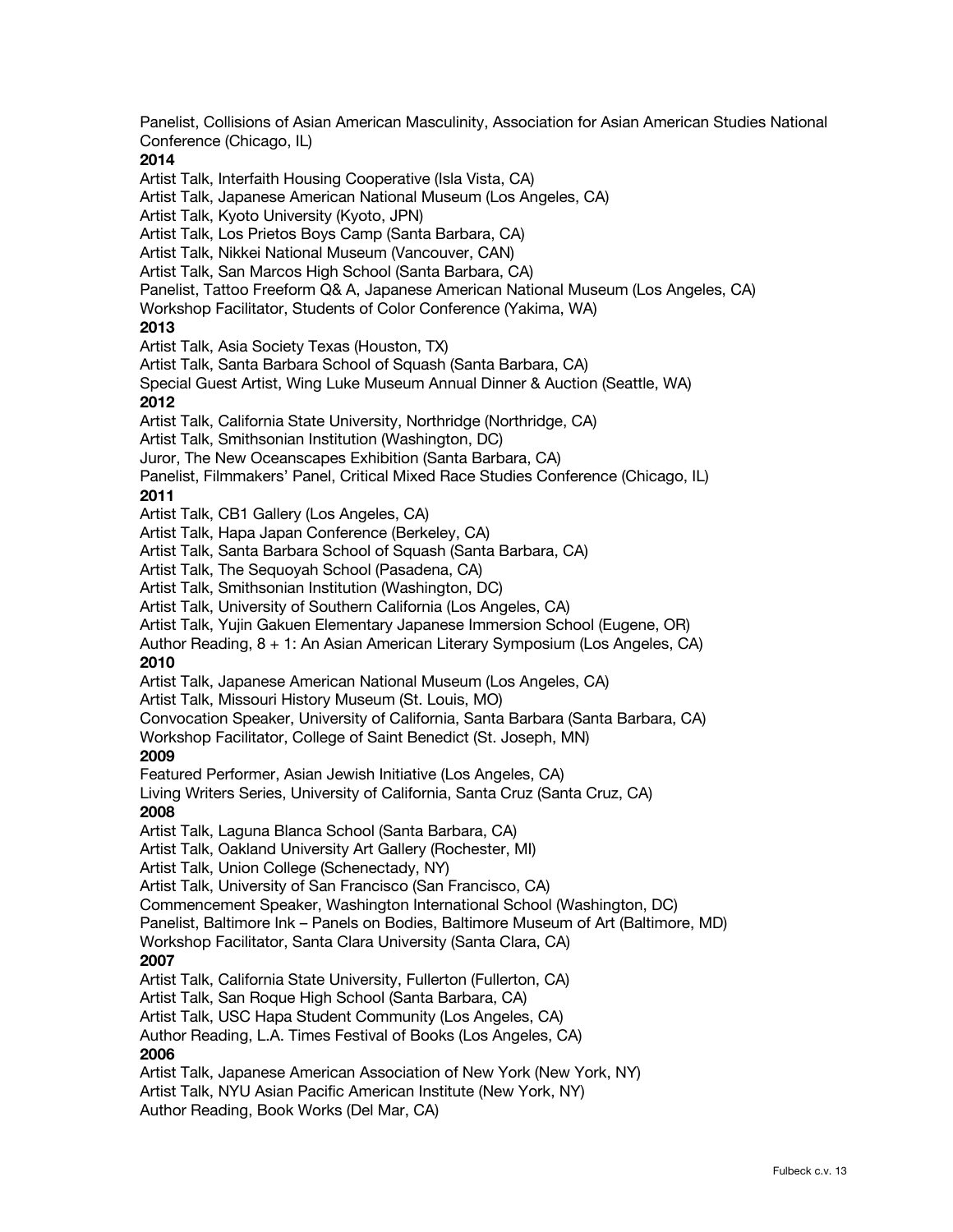Panelist, Collisions of Asian American Masculinity, Association for Asian American Studies National Conference (Chicago, IL) **2014** Artist Talk, Interfaith Housing Cooperative (Isla Vista, CA) Artist Talk, Japanese American National Museum (Los Angeles, CA) Artist Talk, Kyoto University (Kyoto, JPN) Artist Talk, Los Prietos Boys Camp (Santa Barbara, CA) Artist Talk, Nikkei National Museum (Vancouver, CAN) Artist Talk, San Marcos High School (Santa Barbara, CA) Panelist, Tattoo Freeform Q& A, Japanese American National Museum (Los Angeles, CA) Workshop Facilitator, Students of Color Conference (Yakima, WA) **2013** Artist Talk, Asia Society Texas (Houston, TX) Artist Talk, Santa Barbara School of Squash (Santa Barbara, CA) Special Guest Artist, Wing Luke Museum Annual Dinner & Auction (Seattle, WA) **2012** Artist Talk, California State University, Northridge (Northridge, CA) Artist Talk, Smithsonian Institution (Washington, DC) Juror, The New Oceanscapes Exhibition (Santa Barbara, CA) Panelist, Filmmakers' Panel, Critical Mixed Race Studies Conference (Chicago, IL) **2011** Artist Talk, CB1 Gallery (Los Angeles, CA) Artist Talk, Hapa Japan Conference (Berkeley, CA) Artist Talk, Santa Barbara School of Squash (Santa Barbara, CA) Artist Talk, The Sequoyah School (Pasadena, CA) Artist Talk, Smithsonian Institution (Washington, DC) Artist Talk, University of Southern California (Los Angeles, CA) Artist Talk, Yujin Gakuen Elementary Japanese Immersion School (Eugene, OR) Author Reading, 8 + 1: An Asian American Literary Symposium (Los Angeles, CA) **2010** Artist Talk, Japanese American National Museum (Los Angeles, CA) Artist Talk, Missouri History Museum (St. Louis, MO) Convocation Speaker, University of California, Santa Barbara (Santa Barbara, CA) Workshop Facilitator, College of Saint Benedict (St. Joseph, MN) **2009** Featured Performer, Asian Jewish Initiative (Los Angeles, CA) Living Writers Series, University of California, Santa Cruz (Santa Cruz, CA) **2008** Artist Talk, Laguna Blanca School (Santa Barbara, CA) Artist Talk, Oakland University Art Gallery (Rochester, MI) Artist Talk, Union College (Schenectady, NY) Artist Talk, University of San Francisco (San Francisco, CA) Commencement Speaker, Washington International School (Washington, DC) Panelist, Baltimore Ink – Panels on Bodies, Baltimore Museum of Art (Baltimore, MD) Workshop Facilitator, Santa Clara University (Santa Clara, CA) **2007** Artist Talk, California State University, Fullerton (Fullerton, CA) Artist Talk, San Roque High School (Santa Barbara, CA) Artist Talk, USC Hapa Student Community (Los Angeles, CA) Author Reading, L.A. Times Festival of Books (Los Angeles, CA) **2006** Artist Talk, Japanese American Association of New York (New York, NY) Artist Talk, NYU Asian Pacific American Institute (New York, NY) Author Reading, Book Works (Del Mar, CA)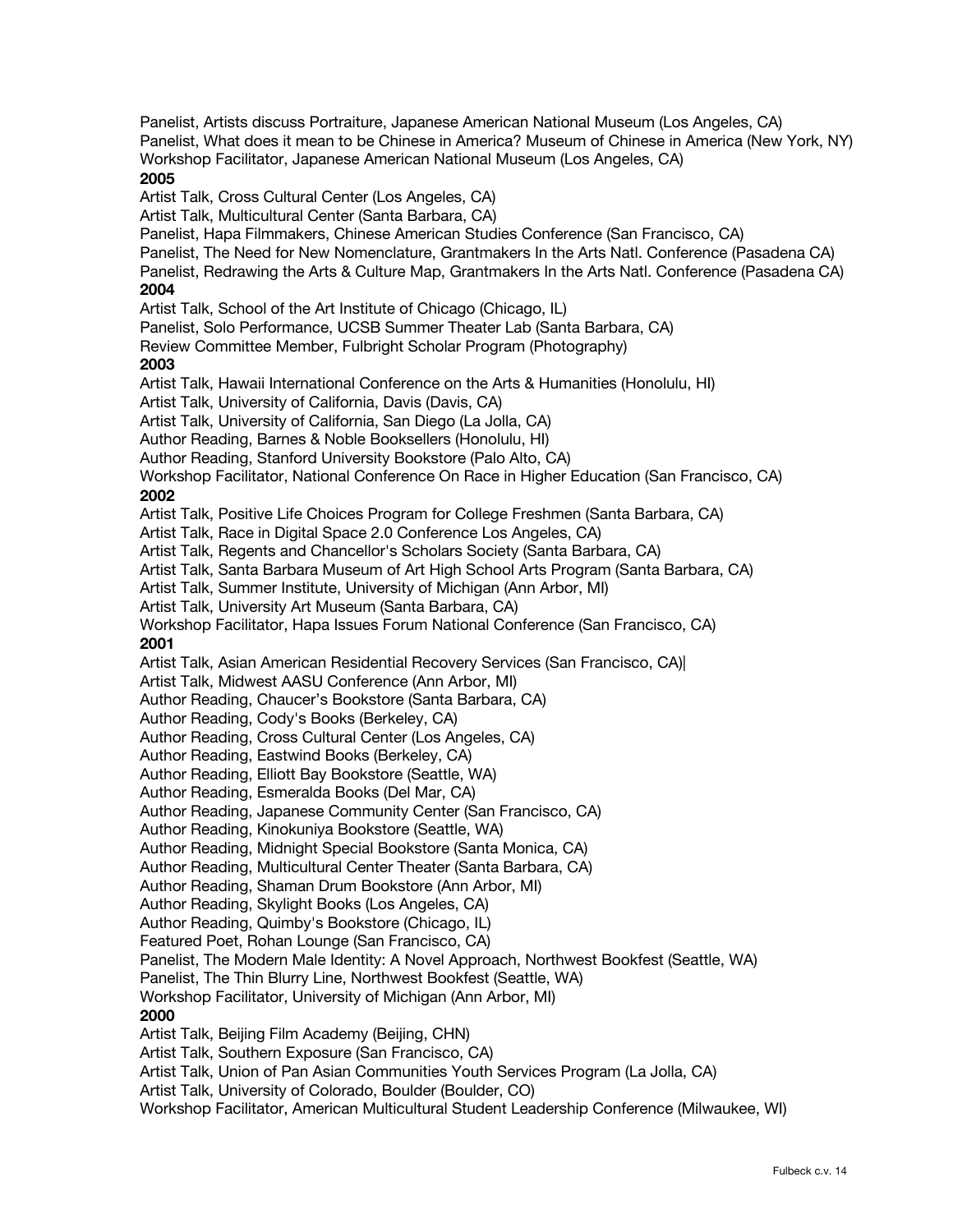Panelist, Artists discuss Portraiture, Japanese American National Museum (Los Angeles, CA) Panelist, What does it mean to be Chinese in America? Museum of Chinese in America (New York, NY) Workshop Facilitator, Japanese American National Museum (Los Angeles, CA) **2005** Artist Talk, Cross Cultural Center (Los Angeles, CA) Artist Talk, Multicultural Center (Santa Barbara, CA) Panelist, Hapa Filmmakers, Chinese American Studies Conference (San Francisco, CA) Panelist, The Need for New Nomenclature, Grantmakers In the Arts Natl. Conference (Pasadena CA) Panelist, Redrawing the Arts & Culture Map, Grantmakers In the Arts Natl. Conference (Pasadena CA) **2004** Artist Talk, School of the Art Institute of Chicago (Chicago, IL) Panelist, Solo Performance, UCSB Summer Theater Lab (Santa Barbara, CA) Review Committee Member, Fulbright Scholar Program (Photography) **2003** Artist Talk, Hawaii International Conference on the Arts & Humanities (Honolulu, HI) Artist Talk, University of California, Davis (Davis, CA) Artist Talk, University of California, San Diego (La Jolla, CA) Author Reading, Barnes & Noble Booksellers (Honolulu, HI) Author Reading, Stanford University Bookstore (Palo Alto, CA) Workshop Facilitator, National Conference On Race in Higher Education (San Francisco, CA) **2002**  Artist Talk, Positive Life Choices Program for College Freshmen (Santa Barbara, CA) Artist Talk, Race in Digital Space 2.0 Conference Los Angeles, CA) Artist Talk, Regents and Chancellor's Scholars Society (Santa Barbara, CA) Artist Talk, Santa Barbara Museum of Art High School Arts Program (Santa Barbara, CA) Artist Talk, Summer Institute, University of Michigan (Ann Arbor, MI) Artist Talk, University Art Museum (Santa Barbara, CA) Workshop Facilitator, Hapa Issues Forum National Conference (San Francisco, CA) **2001** Artist Talk, Asian American Residential Recovery Services (San Francisco, CA)| Artist Talk, Midwest AASU Conference (Ann Arbor, MI) Author Reading, Chaucer's Bookstore (Santa Barbara, CA) Author Reading, Cody's Books (Berkeley, CA) Author Reading, Cross Cultural Center (Los Angeles, CA) Author Reading, Eastwind Books (Berkeley, CA) Author Reading, Elliott Bay Bookstore (Seattle, WA) Author Reading, Esmeralda Books (Del Mar, CA) Author Reading, Japanese Community Center (San Francisco, CA) Author Reading, Kinokuniya Bookstore (Seattle, WA) Author Reading, Midnight Special Bookstore (Santa Monica, CA) Author Reading, Multicultural Center Theater (Santa Barbara, CA) Author Reading, Shaman Drum Bookstore (Ann Arbor, MI) Author Reading, Skylight Books (Los Angeles, CA) Author Reading, Quimby's Bookstore (Chicago, IL) Featured Poet, Rohan Lounge (San Francisco, CA) Panelist, The Modern Male Identity: A Novel Approach, Northwest Bookfest (Seattle, WA) Panelist, The Thin Blurry Line, Northwest Bookfest (Seattle, WA) Workshop Facilitator, University of Michigan (Ann Arbor, MI) **2000** Artist Talk, Beijing Film Academy (Beijing, CHN) Artist Talk, Southern Exposure (San Francisco, CA) Artist Talk, Union of Pan Asian Communities Youth Services Program (La Jolla, CA) Artist Talk, University of Colorado, Boulder (Boulder, CO) Workshop Facilitator, American Multicultural Student Leadership Conference (Milwaukee, WI)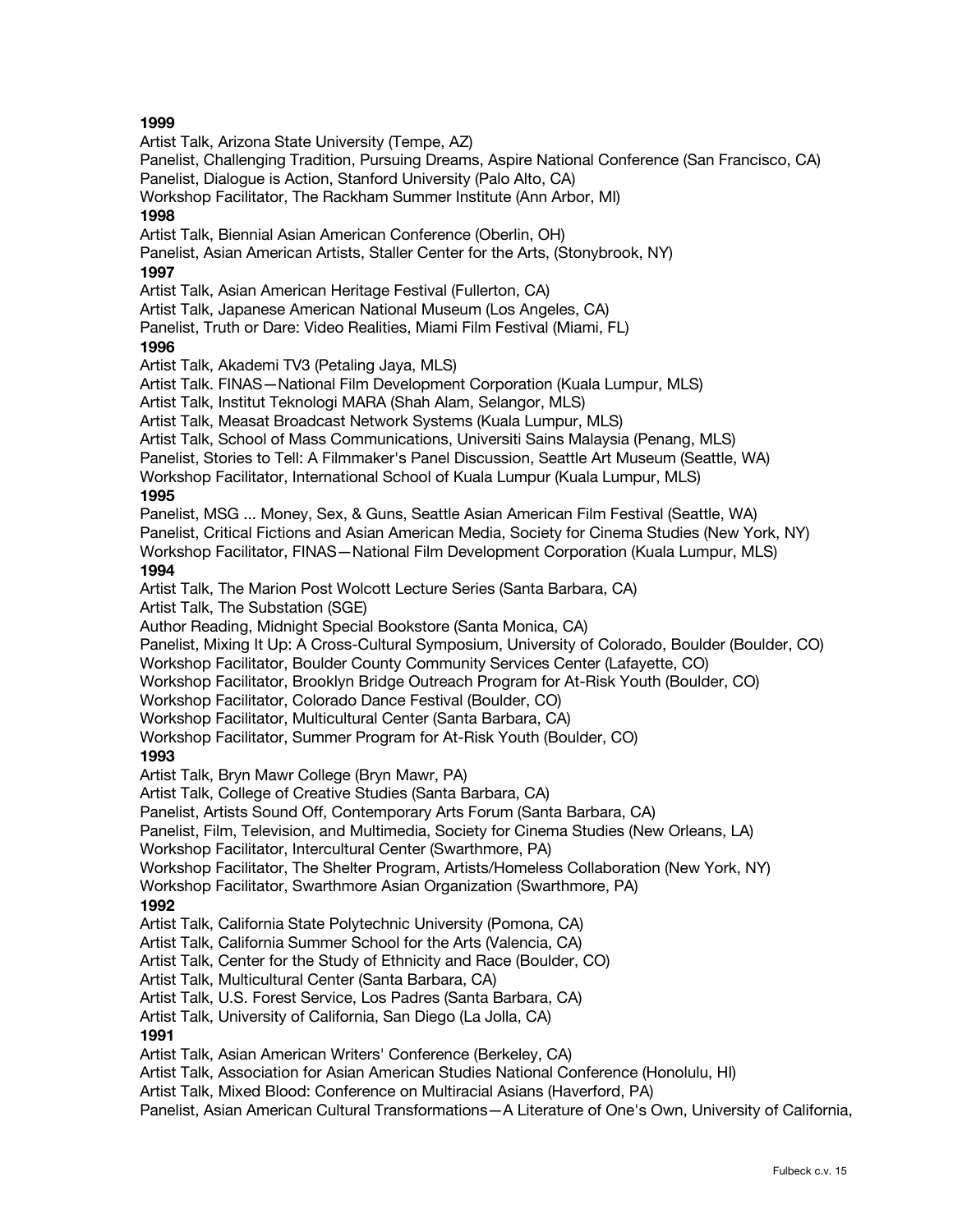Artist Talk, Arizona State University (Tempe, AZ) Panelist, Challenging Tradition, Pursuing Dreams, Aspire National Conference (San Francisco, CA) Panelist, Dialogue is Action, Stanford University (Palo Alto, CA) Workshop Facilitator, The Rackham Summer Institute (Ann Arbor, MI) **1998** Artist Talk, Biennial Asian American Conference (Oberlin, OH) Panelist, Asian American Artists, Staller Center for the Arts, (Stonybrook, NY) **1997** Artist Talk, Asian American Heritage Festival (Fullerton, CA) Artist Talk, Japanese American National Museum (Los Angeles, CA) Panelist, Truth or Dare: Video Realities, Miami Film Festival (Miami, FL) **1996** Artist Talk, Akademi TV3 (Petaling Jaya, MLS) Artist Talk. FINAS—National Film Development Corporation (Kuala Lumpur, MLS) Artist Talk, Institut Teknologi MARA (Shah Alam, Selangor, MLS) Artist Talk, Measat Broadcast Network Systems (Kuala Lumpur, MLS) Artist Talk, School of Mass Communications, Universiti Sains Malaysia (Penang, MLS) Panelist, Stories to Tell: A Filmmaker's Panel Discussion, Seattle Art Museum (Seattle, WA) Workshop Facilitator, International School of Kuala Lumpur (Kuala Lumpur, MLS) **1995** Panelist, MSG ... Money, Sex, & Guns, Seattle Asian American Film Festival (Seattle, WA) Panelist, Critical Fictions and Asian American Media, Society for Cinema Studies (New York, NY) Workshop Facilitator, FINAS—National Film Development Corporation (Kuala Lumpur, MLS) **1994** Artist Talk, The Marion Post Wolcott Lecture Series (Santa Barbara, CA) Artist Talk, The Substation (SGE) Author Reading, Midnight Special Bookstore (Santa Monica, CA) Panelist, Mixing It Up: A Cross-Cultural Symposium, University of Colorado, Boulder (Boulder, CO) Workshop Facilitator, Boulder County Community Services Center (Lafayette, CO) Workshop Facilitator, Brooklyn Bridge Outreach Program for At-Risk Youth (Boulder, CO) Workshop Facilitator, Colorado Dance Festival (Boulder, CO) Workshop Facilitator, Multicultural Center (Santa Barbara, CA) Workshop Facilitator, Summer Program for At-Risk Youth (Boulder, CO) **1993** Artist Talk, Bryn Mawr College (Bryn Mawr, PA) Artist Talk, College of Creative Studies (Santa Barbara, CA) Panelist, Artists Sound Off, Contemporary Arts Forum (Santa Barbara, CA) Panelist, Film, Television, and Multimedia, Society for Cinema Studies (New Orleans, LA) Workshop Facilitator, Intercultural Center (Swarthmore, PA) Workshop Facilitator, The Shelter Program, Artists/Homeless Collaboration (New York, NY) Workshop Facilitator, Swarthmore Asian Organization (Swarthmore, PA) **1992** Artist Talk, California State Polytechnic University (Pomona, CA) Artist Talk, California Summer School for the Arts (Valencia, CA) Artist Talk, Center for the Study of Ethnicity and Race (Boulder, CO) Artist Talk, Multicultural Center (Santa Barbara, CA) Artist Talk, U.S. Forest Service, Los Padres (Santa Barbara, CA) Artist Talk, University of California, San Diego (La Jolla, CA) **1991** Artist Talk, Asian American Writers' Conference (Berkeley, CA) Artist Talk, Association for Asian American Studies National Conference (Honolulu, HI) Artist Talk, Mixed Blood: Conference on Multiracial Asians (Haverford, PA) Panelist, Asian American Cultural Transformations—A Literature of One's Own, University of California,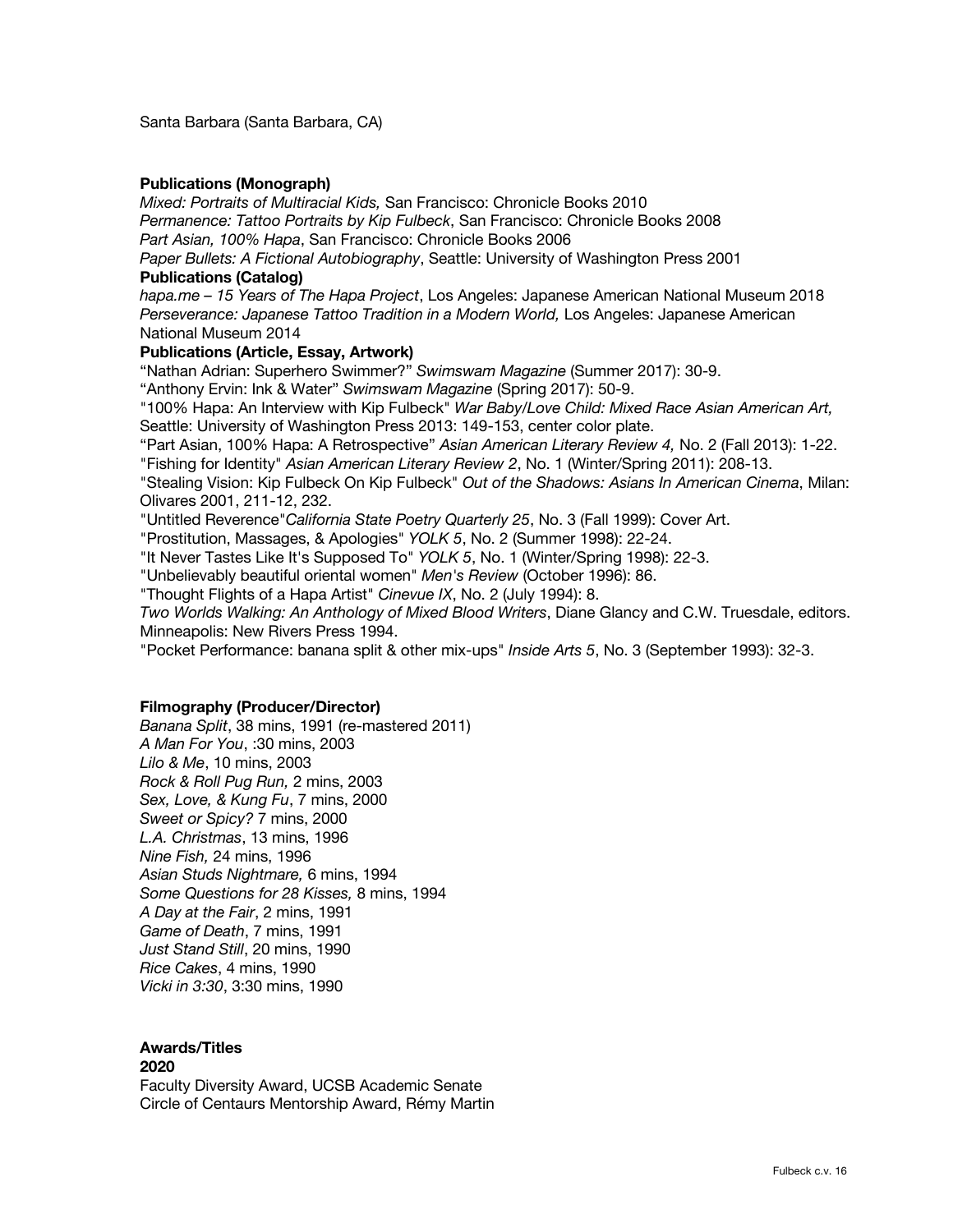Santa Barbara (Santa Barbara, CA)

#### **Publications (Monograph)**

*Mixed: Portraits of Multiracial Kids,* San Francisco: Chronicle Books 2010 *Permanence: Tattoo Portraits by Kip Fulbeck*, San Francisco: Chronicle Books 2008 *Part Asian, 100% Hapa*, San Francisco: Chronicle Books 2006

*Paper Bullets: A Fictional Autobiography*, Seattle: University of Washington Press 2001 **Publications (Catalog)**

*hapa.me – 15 Years of The Hapa Project*, Los Angeles: Japanese American National Museum 2018 Perseverance: Japanese Tattoo Tradition in a Modern World, Los Angeles: Japanese American National Museum 2014

#### **Publications (Article, Essay, Artwork)**

"Nathan Adrian: Superhero Swimmer?" *Swimswam Magazine* (Summer 2017): 30-9.

"Anthony Ervin: Ink & Water" *Swimswam Magazine* (Spring 2017): 50-9.

"100% Hapa: An Interview with Kip Fulbeck" *War Baby/Love Child: Mixed Race Asian American Art,* Seattle: University of Washington Press 2013: 149-153, center color plate.

"Part Asian, 100% Hapa: A Retrospective" *Asian American Literary Review 4,* No. 2 (Fall 2013): 1-22. "Fishing for Identity" *Asian American Literary Review 2*, No. 1 (Winter/Spring 2011): 208-13.

"Stealing Vision: Kip Fulbeck On Kip Fulbeck" *Out of the Shadows: Asians In American Cinema*, Milan: Olivares 2001, 211-12, 232.

"Untitled Reverence"*California State Poetry Quarterly 25*, No. 3 (Fall 1999): Cover Art.

"Prostitution, Massages, & Apologies" *YOLK 5*, No. 2 (Summer 1998): 22-24.

"It Never Tastes Like It's Supposed To" *YOLK 5*, No. 1 (Winter/Spring 1998): 22-3.

"Unbelievably beautiful oriental women" *Men's Review* (October 1996): 86.

"Thought Flights of a Hapa Artist" *Cinevue IX*, No. 2 (July 1994): 8.

*Two Worlds Walking: An Anthology of Mixed Blood Writers*, Diane Glancy and C.W. Truesdale, editors. Minneapolis: New Rivers Press 1994.

"Pocket Performance: banana split & other mix-ups" *Inside Arts 5*, No. 3 (September 1993): 32-3.

#### **Filmography (Producer/Director)**

*Banana Split*, 38 mins, 1991 (re-mastered 2011) *A Man For You*, :30 mins, 2003 *Lilo & Me*, 10 mins, 2003 *Rock & Roll Pug Run,* 2 mins, 2003 *Sex, Love, & Kung Fu*, 7 mins, 2000 *Sweet or Spicy?* 7 mins, 2000 *L.A. Christmas*, 13 mins, 1996 *Nine Fish,* 24 mins, 1996 *Asian Studs Nightmare,* 6 mins, 1994 *Some Questions for 28 Kisses,* 8 mins, 1994 *A Day at the Fair*, 2 mins, 1991 *Game of Death*, 7 mins, 1991 *Just Stand Still*, 20 mins, 1990 *Rice Cakes*, 4 mins, 1990 *Vicki in 3:30*, 3:30 mins, 1990

#### **Awards/Titles 2020**

Faculty Diversity Award, UCSB Academic Senate Circle of Centaurs Mentorship Award, Rémy Martin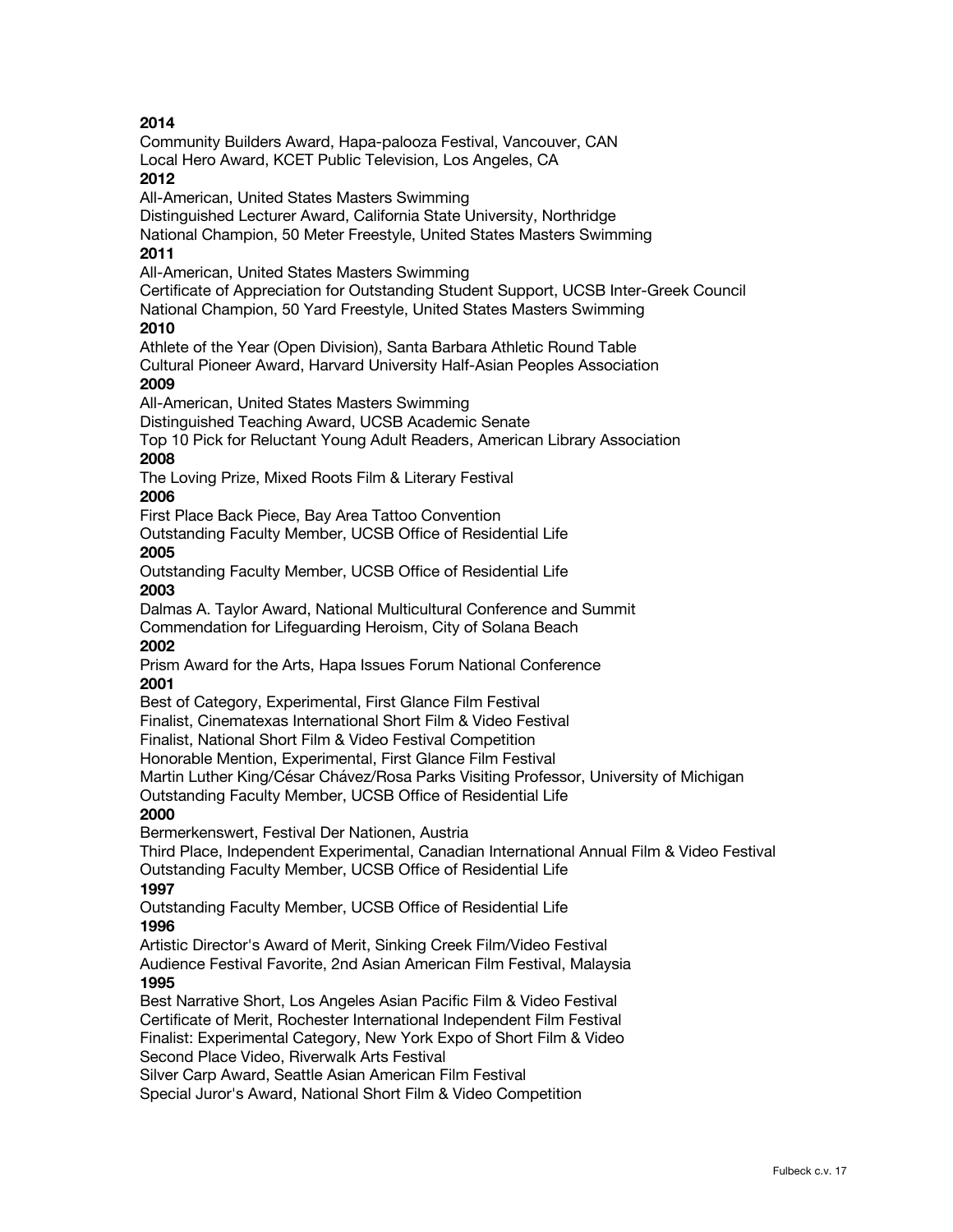Community Builders Award, Hapa-palooza Festival, Vancouver, CAN Local Hero Award, KCET Public Television, Los Angeles, CA

## **2012**

All-American, United States Masters Swimming

Distinguished Lecturer Award, California State University, Northridge

National Champion, 50 Meter Freestyle, United States Masters Swimming

# **2011**

All-American, United States Masters Swimming

Certificate of Appreciation for Outstanding Student Support, UCSB Inter-Greek Council National Champion, 50 Yard Freestyle, United States Masters Swimming

#### **2010**

Athlete of the Year (Open Division), Santa Barbara Athletic Round Table Cultural Pioneer Award, Harvard University Half-Asian Peoples Association

#### **2009**

All-American, United States Masters Swimming

Distinguished Teaching Award, UCSB Academic Senate

Top 10 Pick for Reluctant Young Adult Readers, American Library Association **2008**

The Loving Prize, Mixed Roots Film & Literary Festival

#### **2006**

First Place Back Piece, Bay Area Tattoo Convention

Outstanding Faculty Member, UCSB Office of Residential Life **2005**

Outstanding Faculty Member, UCSB Office of Residential Life **2003**

Dalmas A. Taylor Award, National Multicultural Conference and Summit Commendation for Lifeguarding Heroism, City of Solana Beach **2002**

Prism Award for the Arts, Hapa Issues Forum National Conference **2001**

Best of Category, Experimental, First Glance Film Festival

Finalist, Cinematexas International Short Film & Video Festival

Finalist, National Short Film & Video Festival Competition

Honorable Mention, Experimental, First Glance Film Festival

Martin Luther King/César Chávez/Rosa Parks Visiting Professor, University of Michigan

Outstanding Faculty Member, UCSB Office of Residential Life

### **2000**

Bermerkenswert, Festival Der Nationen, Austria

Third Place, Independent Experimental, Canadian International Annual Film & Video Festival Outstanding Faculty Member, UCSB Office of Residential Life

### **1997**

Outstanding Faculty Member, UCSB Office of Residential Life **1996**

Artistic Director's Award of Merit, Sinking Creek Film/Video Festival Audience Festival Favorite, 2nd Asian American Film Festival, Malaysia **1995**

Best Narrative Short, Los Angeles Asian Pacific Film & Video Festival Certificate of Merit, Rochester International Independent Film Festival Finalist: Experimental Category, New York Expo of Short Film & Video Second Place Video, Riverwalk Arts Festival

Silver Carp Award, Seattle Asian American Film Festival

Special Juror's Award, National Short Film & Video Competition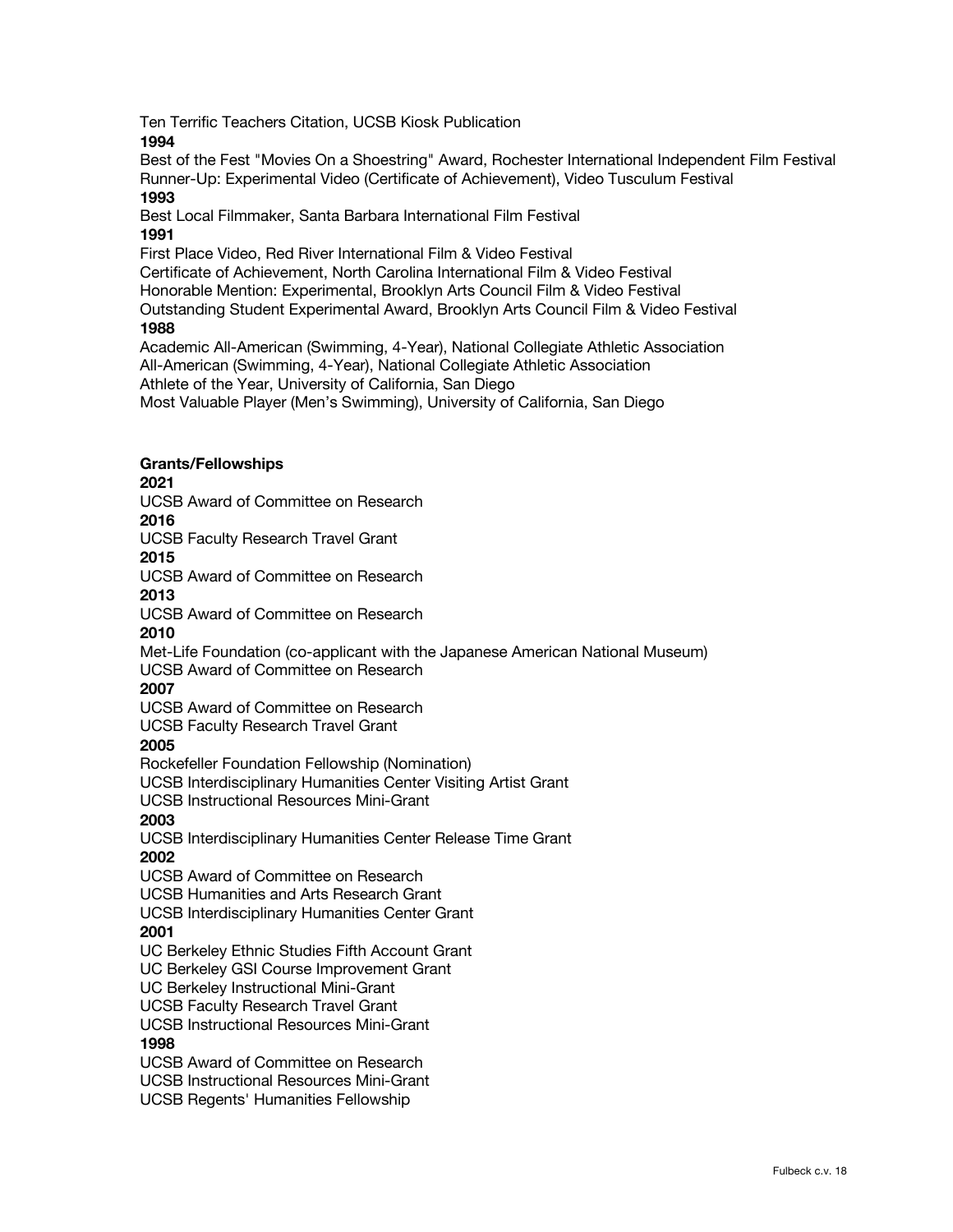Ten Terrific Teachers Citation, UCSB Kiosk Publication

**1994**

Best of the Fest "Movies On a Shoestring" Award, Rochester International Independent Film Festival Runner-Up: Experimental Video (Certificate of Achievement), Video Tusculum Festival **1993**

Best Local Filmmaker, Santa Barbara International Film Festival **1991**

First Place Video, Red River International Film & Video Festival

Certificate of Achievement, North Carolina International Film & Video Festival

Honorable Mention: Experimental, Brooklyn Arts Council Film & Video Festival Outstanding Student Experimental Award, Brooklyn Arts Council Film & Video Festival

## **1988**

Academic All-American (Swimming, 4-Year), National Collegiate Athletic Association All-American (Swimming, 4-Year), National Collegiate Athletic Association Athlete of the Year, University of California, San Diego Most Valuable Player (Men's Swimming), University of California, San Diego

## **Grants/Fellowships**

**2021**

UCSB Award of Committee on Research

# **2016**

UCSB Faculty Research Travel Grant

### **2015**

UCSB Award of Committee on Research

### **2013**

UCSB Award of Committee on Research

### **2010**

Met-Life Foundation (co-applicant with the Japanese American National Museum) UCSB Award of Committee on Research

### **2007**

UCSB Award of Committee on Research

UCSB Faculty Research Travel Grant

### **2005**

Rockefeller Foundation Fellowship (Nomination) UCSB Interdisciplinary Humanities Center Visiting Artist Grant

UCSB Instructional Resources Mini-Grant

## **2003**

UCSB Interdisciplinary Humanities Center Release Time Grant **2002**

UCSB Award of Committee on Research UCSB Humanities and Arts Research Grant UCSB Interdisciplinary Humanities Center Grant

## **2001**

UC Berkeley Ethnic Studies Fifth Account Grant

UC Berkeley GSI Course Improvement Grant

UC Berkeley Instructional Mini-Grant

UCSB Faculty Research Travel Grant

UCSB Instructional Resources Mini-Grant

### **1998**

UCSB Award of Committee on Research UCSB Instructional Resources Mini-Grant UCSB Regents' Humanities Fellowship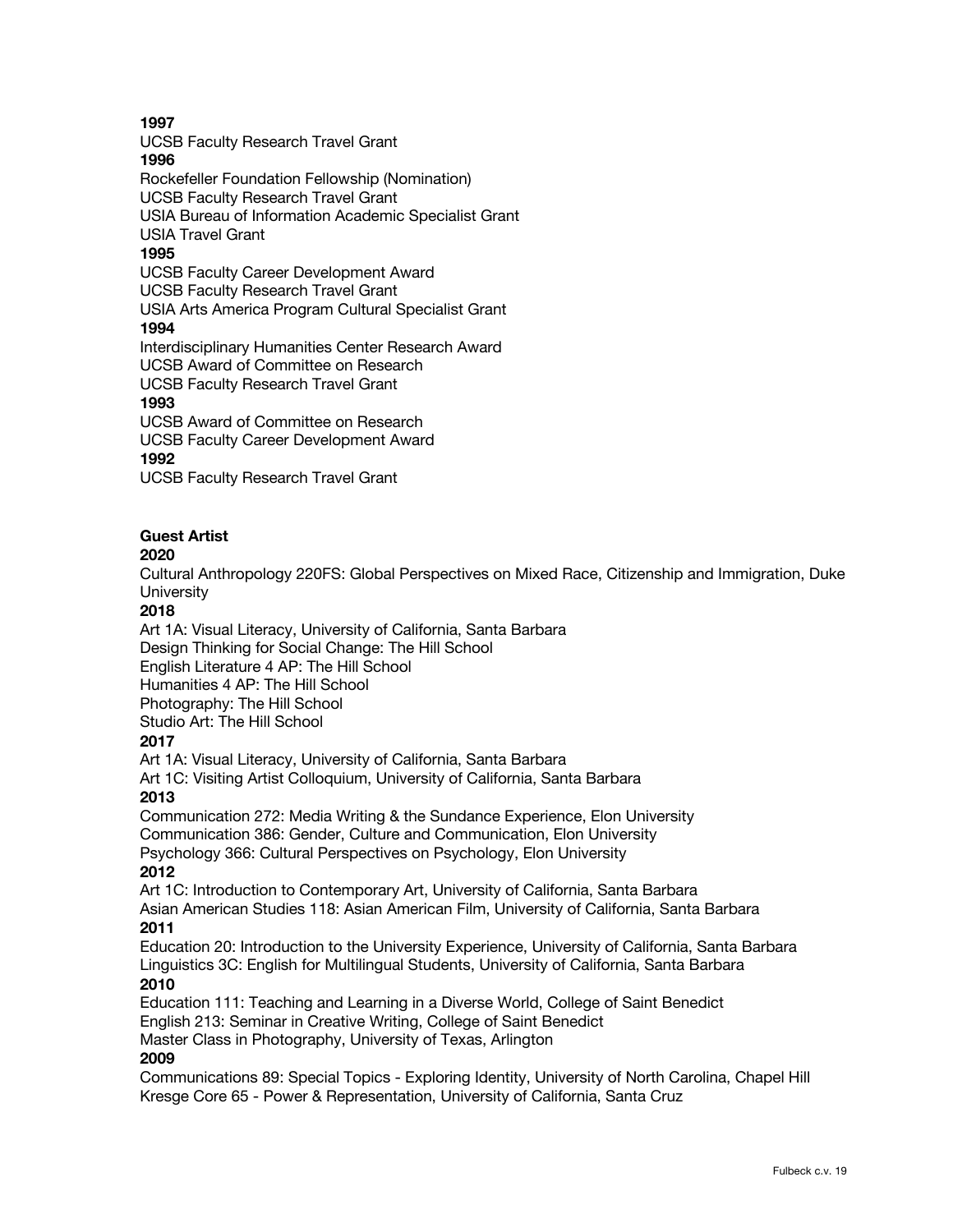UCSB Faculty Research Travel Grant

### **1996**

Rockefeller Foundation Fellowship (Nomination) UCSB Faculty Research Travel Grant

USIA Bureau of Information Academic Specialist Grant USIA Travel Grant

# **1995**

UCSB Faculty Career Development Award

UCSB Faculty Research Travel Grant

USIA Arts America Program Cultural Specialist Grant

## **1994**

Interdisciplinary Humanities Center Research Award

UCSB Award of Committee on Research

UCSB Faculty Research Travel Grant

## **1993**

UCSB Award of Committee on Research

UCSB Faculty Career Development Award

## **1992**

UCSB Faculty Research Travel Grant

## **Guest Artist**

### **2020**

Cultural Anthropology 220FS: Global Perspectives on Mixed Race, Citizenship and Immigration, Duke **University** 

## **2018**

Art 1A: Visual Literacy, University of California, Santa Barbara Design Thinking for Social Change: The Hill School English Literature 4 AP: The Hill School Humanities 4 AP: The Hill School Photography: The Hill School Studio Art: The Hill School **2017** Art 1A: Visual Literacy, University of California, Santa Barbara Art 1C: Visiting Artist Colloquium, University of California, Santa Barbara

## **2013**

Communication 272: Media Writing & the Sundance Experience, Elon University Communication 386: Gender, Culture and Communication, Elon University Psychology 366: Cultural Perspectives on Psychology, Elon University **2012**

Art 1C: Introduction to Contemporary Art, University of California, Santa Barbara Asian American Studies 118: Asian American Film, University of California, Santa Barbara **2011**

Education 20: Introduction to the University Experience, University of California, Santa Barbara Linguistics 3C: English for Multilingual Students, University of California, Santa Barbara **2010**

Education 111: Teaching and Learning in a Diverse World, College of Saint Benedict English 213: Seminar in Creative Writing, College of Saint Benedict

Master Class in Photography, University of Texas, Arlington

## **2009**

Communications 89: Special Topics - Exploring Identity, University of North Carolina, Chapel Hill Kresge Core 65 - Power & Representation, University of California, Santa Cruz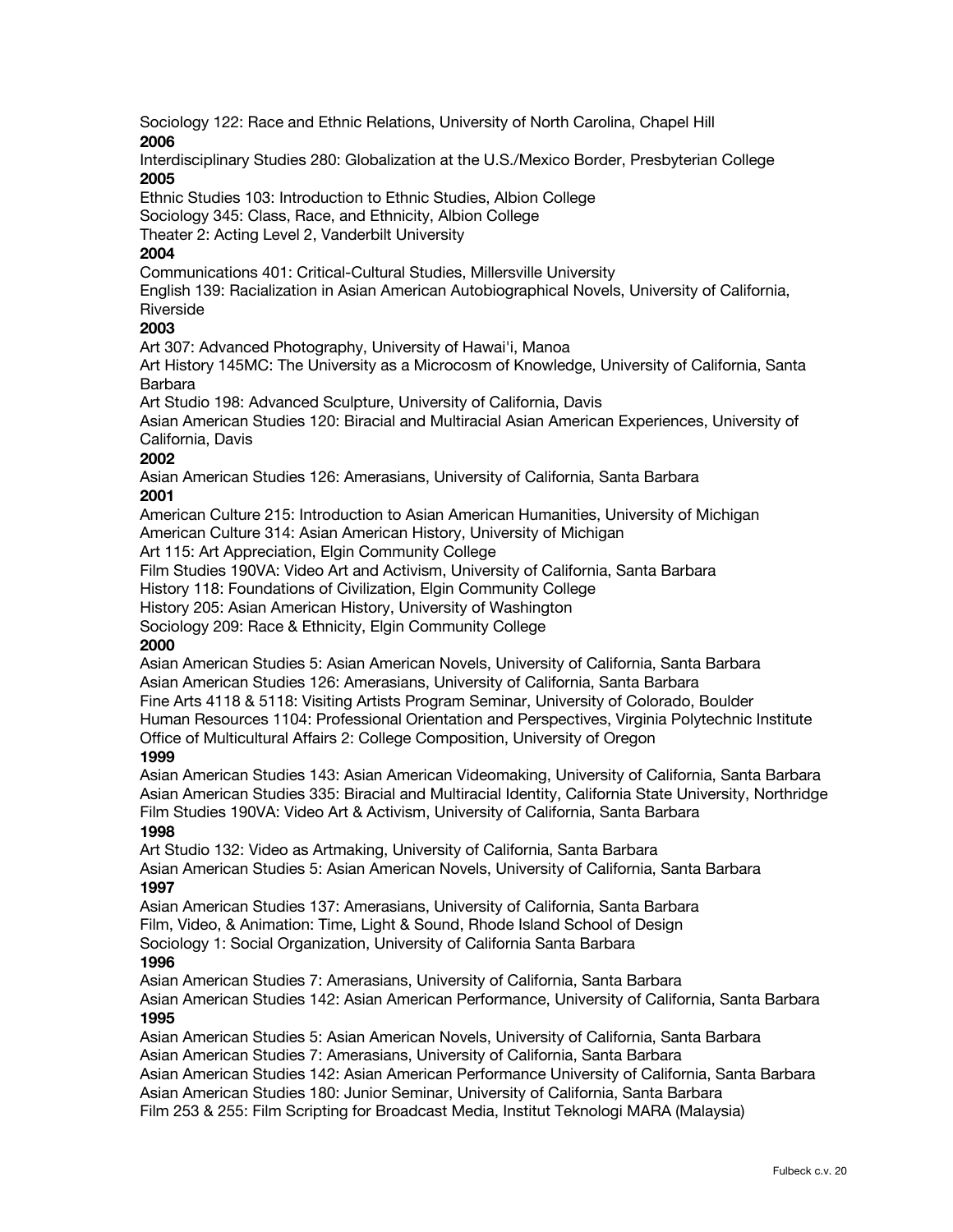Sociology 122: Race and Ethnic Relations, University of North Carolina, Chapel Hill **2006**

Interdisciplinary Studies 280: Globalization at the U.S./Mexico Border, Presbyterian College **2005**

Ethnic Studies 103: Introduction to Ethnic Studies, Albion College Sociology 345: Class, Race, and Ethnicity, Albion College

Theater 2: Acting Level 2, Vanderbilt University

## **2004**

Communications 401: Critical-Cultural Studies, Millersville University

English 139: Racialization in Asian American Autobiographical Novels, University of California, Riverside

### **2003**

Art 307: Advanced Photography, University of Hawai'i, Manoa

Art History 145MC: The University as a Microcosm of Knowledge, University of California, Santa Barbara

Art Studio 198: Advanced Sculpture, University of California, Davis

Asian American Studies 120: Biracial and Multiracial Asian American Experiences, University of California, Davis

### **2002**

Asian American Studies 126: Amerasians, University of California, Santa Barbara **2001**

American Culture 215: Introduction to Asian American Humanities, University of Michigan American Culture 314: Asian American History, University of Michigan

Art 115: Art Appreciation, Elgin Community College

Film Studies 190VA: Video Art and Activism, University of California, Santa Barbara

History 118: Foundations of Civilization, Elgin Community College

History 205: Asian American History, University of Washington

Sociology 209: Race & Ethnicity, Elgin Community College

#### **2000**

Asian American Studies 5: Asian American Novels, University of California, Santa Barbara Asian American Studies 126: Amerasians, University of California, Santa Barbara Fine Arts 4118 & 5118: Visiting Artists Program Seminar, University of Colorado, Boulder Human Resources 1104: Professional Orientation and Perspectives, Virginia Polytechnic Institute Office of Multicultural Affairs 2: College Composition, University of Oregon

#### **1999**

Asian American Studies 143: Asian American Videomaking, University of California, Santa Barbara Asian American Studies 335: Biracial and Multiracial Identity, California State University, Northridge Film Studies 190VA: Video Art & Activism, University of California, Santa Barbara

### **1998**

Art Studio 132: Video as Artmaking, University of California, Santa Barbara

Asian American Studies 5: Asian American Novels, University of California, Santa Barbara **1997**

Asian American Studies 137: Amerasians, University of California, Santa Barbara Film, Video, & Animation: Time, Light & Sound, Rhode Island School of Design

Sociology 1: Social Organization, University of California Santa Barbara

### **1996**

Asian American Studies 7: Amerasians, University of California, Santa Barbara

Asian American Studies 142: Asian American Performance, University of California, Santa Barbara **1995**

Asian American Studies 5: Asian American Novels, University of California, Santa Barbara Asian American Studies 7: Amerasians, University of California, Santa Barbara

Asian American Studies 142: Asian American Performance University of California, Santa Barbara

Asian American Studies 180: Junior Seminar, University of California, Santa Barbara

Film 253 & 255: Film Scripting for Broadcast Media, Institut Teknologi MARA (Malaysia)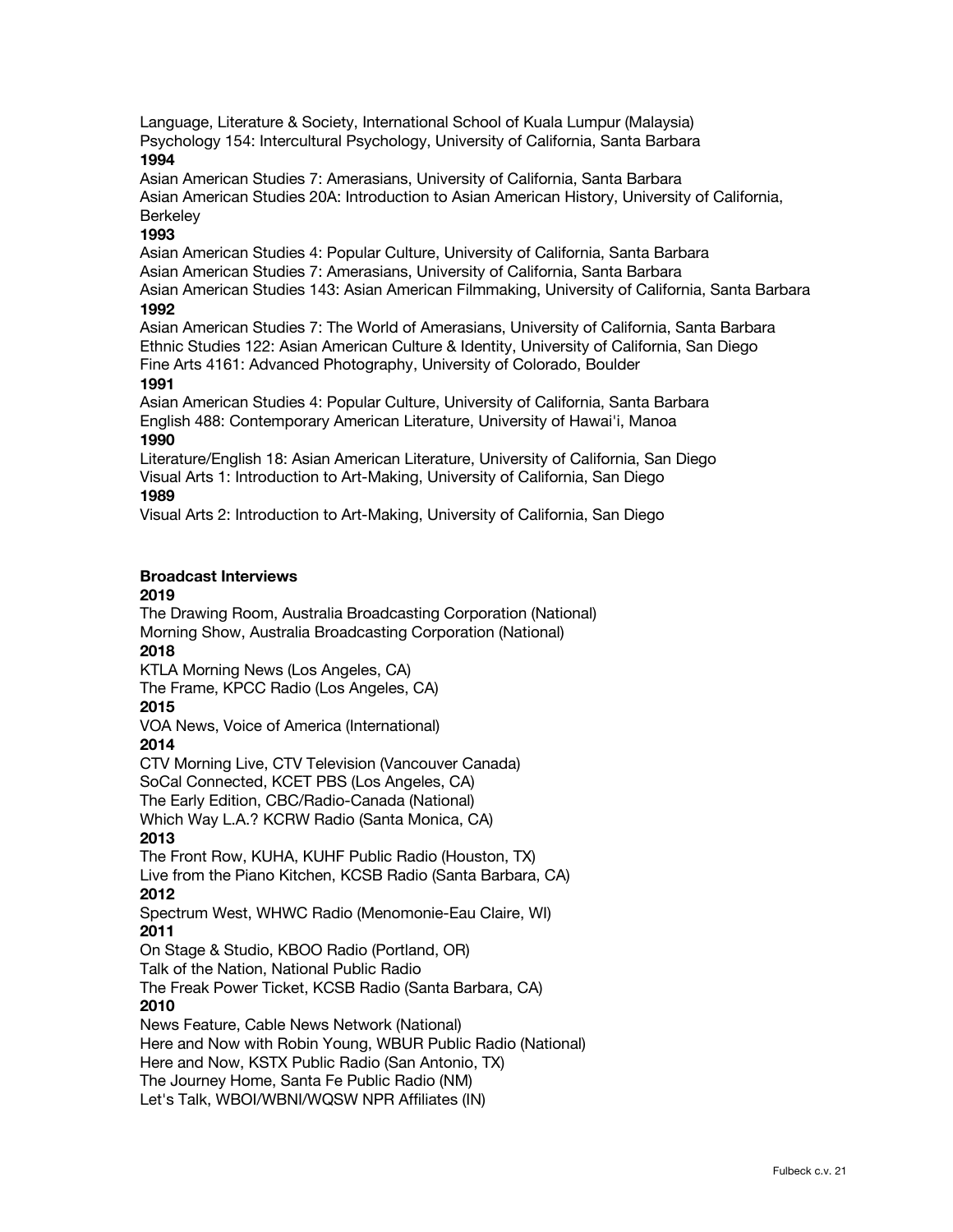Language, Literature & Society, International School of Kuala Lumpur (Malaysia) Psychology 154: Intercultural Psychology, University of California, Santa Barbara **1994**

Asian American Studies 7: Amerasians, University of California, Santa Barbara Asian American Studies 20A: Introduction to Asian American History, University of California, **Berkeley** 

#### **1993**

Asian American Studies 4: Popular Culture, University of California, Santa Barbara Asian American Studies 7: Amerasians, University of California, Santa Barbara Asian American Studies 143: Asian American Filmmaking, University of California, Santa Barbara

### **1992**

Asian American Studies 7: The World of Amerasians, University of California, Santa Barbara Ethnic Studies 122: Asian American Culture & Identity, University of California, San Diego Fine Arts 4161: Advanced Photography, University of Colorado, Boulder

#### **1991**

Asian American Studies 4: Popular Culture, University of California, Santa Barbara English 488: Contemporary American Literature, University of Hawai'i, Manoa **1990**

Literature/English 18: Asian American Literature, University of California, San Diego Visual Arts 1: Introduction to Art-Making, University of California, San Diego **1989**

Visual Arts 2: Introduction to Art-Making, University of California, San Diego

### **Broadcast Interviews**

#### **2019**

The Drawing Room, Australia Broadcasting Corporation (National) Morning Show, Australia Broadcasting Corporation (National) **2018** KTLA Morning News (Los Angeles, CA) The Frame, KPCC Radio (Los Angeles, CA) **2015** VOA News, Voice of America (International) **2014** CTV Morning Live, CTV Television (Vancouver Canada) SoCal Connected, KCET PBS (Los Angeles, CA) The Early Edition, CBC/Radio-Canada (National) Which Way L.A.? KCRW Radio (Santa Monica, CA) **2013** The Front Row, KUHA, KUHF Public Radio (Houston, TX) Live from the Piano Kitchen, KCSB Radio (Santa Barbara, CA) **2012** Spectrum West, WHWC Radio (Menomonie-Eau Claire, WI) **2011** On Stage & Studio, KBOO Radio (Portland, OR) Talk of the Nation, National Public Radio The Freak Power Ticket, KCSB Radio (Santa Barbara, CA) **2010** News Feature, Cable News Network (National) Here and Now with Robin Young, WBUR Public Radio (National) Here and Now, KSTX Public Radio (San Antonio, TX) The Journey Home, Santa Fe Public Radio (NM) Let's Talk, WBOI/WBNI/WQSW NPR Affiliates (IN)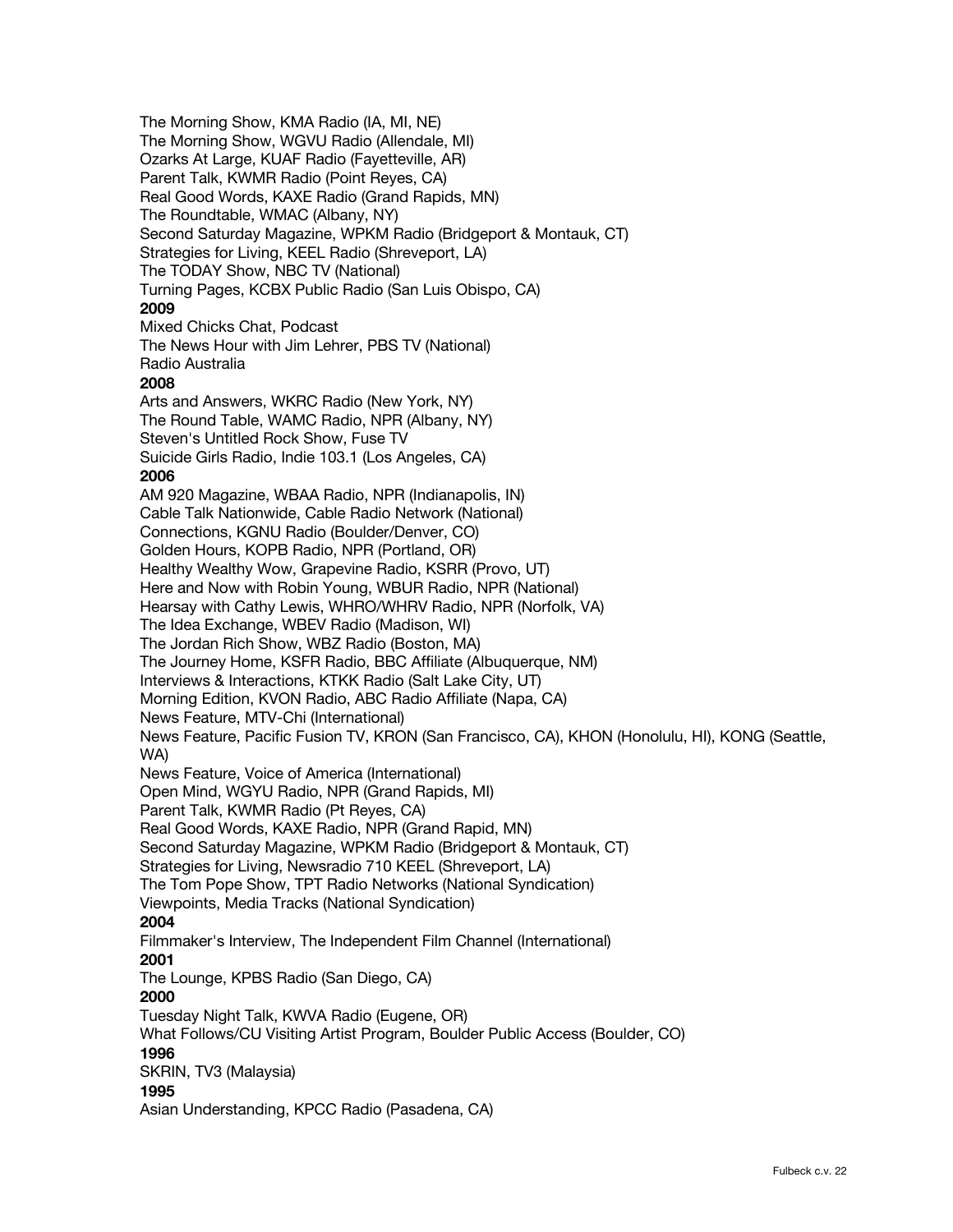The Morning Show, KMA Radio (IA, MI, NE) The Morning Show, WGVU Radio (Allendale, MI) Ozarks At Large, KUAF Radio (Fayetteville, AR) Parent Talk, KWMR Radio (Point Reyes, CA) Real Good Words, KAXE Radio (Grand Rapids, MN) The Roundtable, WMAC (Albany, NY) Second Saturday Magazine, WPKM Radio (Bridgeport & Montauk, CT) Strategies for Living, KEEL Radio (Shreveport, LA) The TODAY Show, NBC TV (National) Turning Pages, KCBX Public Radio (San Luis Obispo, CA) **2009** Mixed Chicks Chat, Podcast The News Hour with Jim Lehrer, PBS TV (National) Radio Australia **2008** Arts and Answers, WKRC Radio (New York, NY) The Round Table, WAMC Radio, NPR (Albany, NY) Steven's Untitled Rock Show, Fuse TV Suicide Girls Radio, Indie 103.1 (Los Angeles, CA) **2006** AM 920 Magazine, WBAA Radio, NPR (Indianapolis, IN) Cable Talk Nationwide, Cable Radio Network (National) Connections, KGNU Radio (Boulder/Denver, CO) Golden Hours, KOPB Radio, NPR (Portland, OR) Healthy Wealthy Wow, Grapevine Radio, KSRR (Provo, UT) Here and Now with Robin Young, WBUR Radio, NPR (National) Hearsay with Cathy Lewis, WHRO/WHRV Radio, NPR (Norfolk, VA) The Idea Exchange, WBEV Radio (Madison, WI) The Jordan Rich Show, WBZ Radio (Boston, MA) The Journey Home, KSFR Radio, BBC Affiliate (Albuquerque, NM) Interviews & Interactions, KTKK Radio (Salt Lake City, UT) Morning Edition, KVON Radio, ABC Radio Affiliate (Napa, CA) News Feature, MTV-Chi (International) News Feature, Pacific Fusion TV, KRON (San Francisco, CA), KHON (Honolulu, HI), KONG (Seattle, WA) News Feature, Voice of America (International) Open Mind, WGYU Radio, NPR (Grand Rapids, MI) Parent Talk, KWMR Radio (Pt Reyes, CA) Real Good Words, KAXE Radio, NPR (Grand Rapid, MN) Second Saturday Magazine, WPKM Radio (Bridgeport & Montauk, CT) Strategies for Living, Newsradio 710 KEEL (Shreveport, LA) The Tom Pope Show, TPT Radio Networks (National Syndication) Viewpoints, Media Tracks (National Syndication) **2004** Filmmaker's Interview, The Independent Film Channel (International) **2001** The Lounge, KPBS Radio (San Diego, CA) **2000** Tuesday Night Talk, KWVA Radio (Eugene, OR) What Follows/CU Visiting Artist Program, Boulder Public Access (Boulder, CO) **1996** SKRIN, TV3 (Malaysia) **1995** Asian Understanding, KPCC Radio (Pasadena, CA)